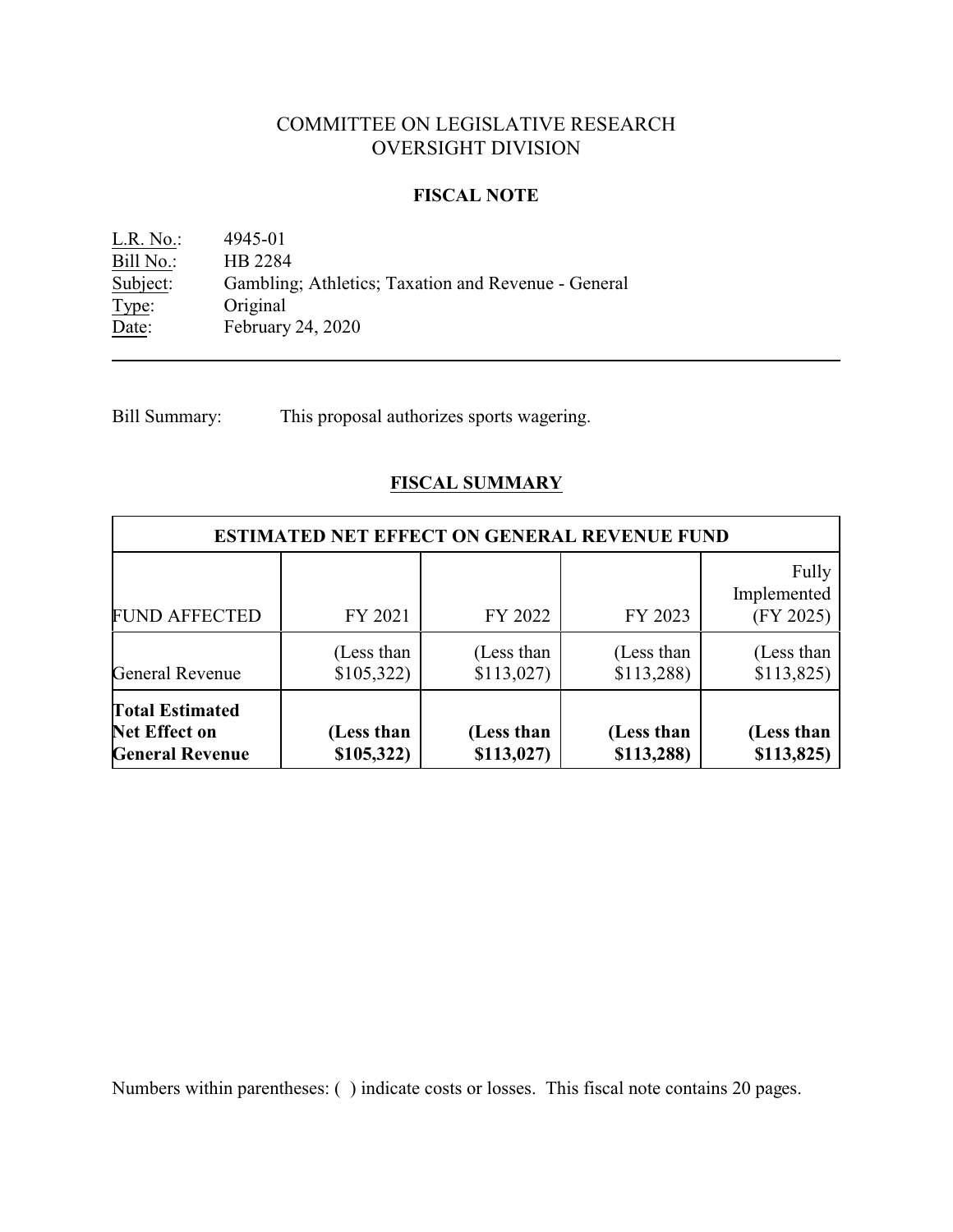# COMMITTEE ON LEGISLATIVE RESEARCH OVERSIGHT DIVISION

#### **FISCAL NOTE**

L.R. No.: 4945-01 Bill No.: HB 2284<br>Subject: Gambling Gambling; Athletics; Taxation and Revenue - General Type: Original<br>Date: February February 24, 2020

Bill Summary: This proposal authorizes sports wagering.

# **FISCAL SUMMARY**

| <b>ESTIMATED NET EFFECT ON GENERAL REVENUE FUND</b>                      |                          |                         |                          |                                   |  |  |
|--------------------------------------------------------------------------|--------------------------|-------------------------|--------------------------|-----------------------------------|--|--|
| <b>FUND AFFECTED</b>                                                     | FY 2021                  | FY 2022                 | FY 2023                  | Fully<br>Implemented<br>(FY 2025) |  |  |
| <b>General Revenue</b>                                                   | (Less than<br>\$105,322) | (Less than<br>\$113,027 | (Less than<br>\$113,288  | (Less than<br>\$113,825           |  |  |
| <b>Total Estimated</b><br><b>Net Effect on</b><br><b>General Revenue</b> | (Less than<br>\$105,322) | (Less than<br>\$113,027 | (Less than<br>\$113,288) | (Less than<br>\$113,825           |  |  |

Numbers within parentheses: ( ) indicate costs or losses. This fiscal note contains 20 pages.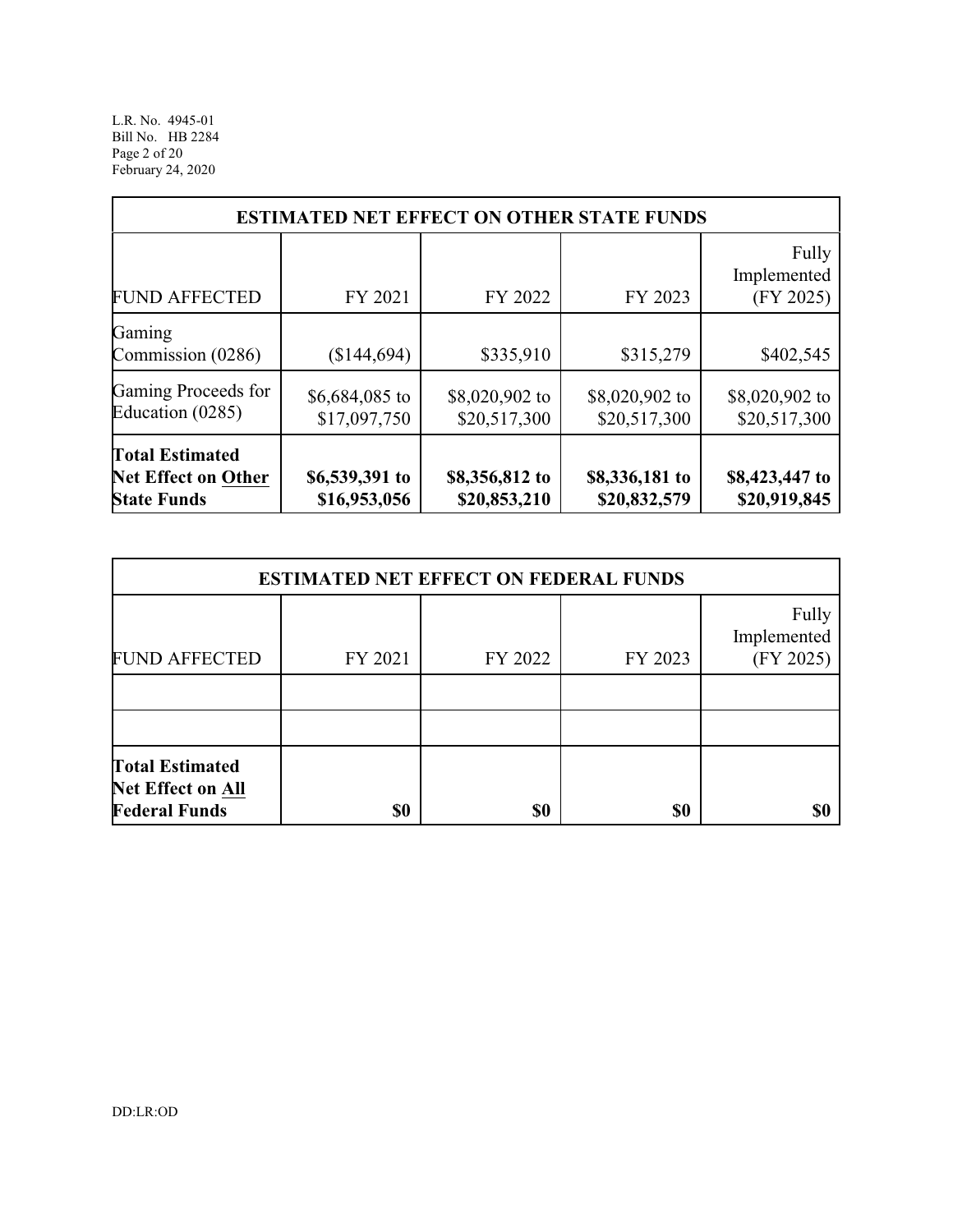L.R. No. 4945-01 Bill No. HB 2284 Page 2 of 20 February 24, 2020

| <b>ESTIMATED NET EFFECT ON OTHER STATE FUNDS</b>                           |                                |                                |                                |                                   |  |  |
|----------------------------------------------------------------------------|--------------------------------|--------------------------------|--------------------------------|-----------------------------------|--|--|
| <b>FUND AFFECTED</b>                                                       | FY 2021                        | FY 2022                        | FY 2023                        | Fully<br>Implemented<br>(FY 2025) |  |  |
| Gaming<br>Commission (0286)                                                | \$144,694)                     | \$335,910                      | \$315,279                      | \$402,545                         |  |  |
| Gaming Proceeds for<br>Education (0285)                                    | \$6,684,085 to<br>\$17,097,750 | \$8,020,902 to<br>\$20,517,300 | \$8,020,902 to<br>\$20,517,300 | \$8,020,902 to<br>\$20,517,300    |  |  |
| <b>Total Estimated</b><br><b>Net Effect on Other</b><br><b>State Funds</b> | \$6,539,391 to<br>\$16,953,056 | \$8,356,812 to<br>\$20,853,210 | \$8,336,181 to<br>\$20,832,579 | \$8,423,447 to<br>\$20,919,845    |  |  |

| <b>ESTIMATED NET EFFECT ON FEDERAL FUNDS</b>                               |         |         |         |                                   |  |  |
|----------------------------------------------------------------------------|---------|---------|---------|-----------------------------------|--|--|
| <b>FUND AFFECTED</b>                                                       | FY 2021 | FY 2022 | FY 2023 | Fully<br>Implemented<br>(FY 2025) |  |  |
|                                                                            |         |         |         |                                   |  |  |
|                                                                            |         |         |         |                                   |  |  |
| <b>Total Estimated</b><br><b>Net Effect on All</b><br><b>Federal Funds</b> | \$0     | \$0     | \$0     |                                   |  |  |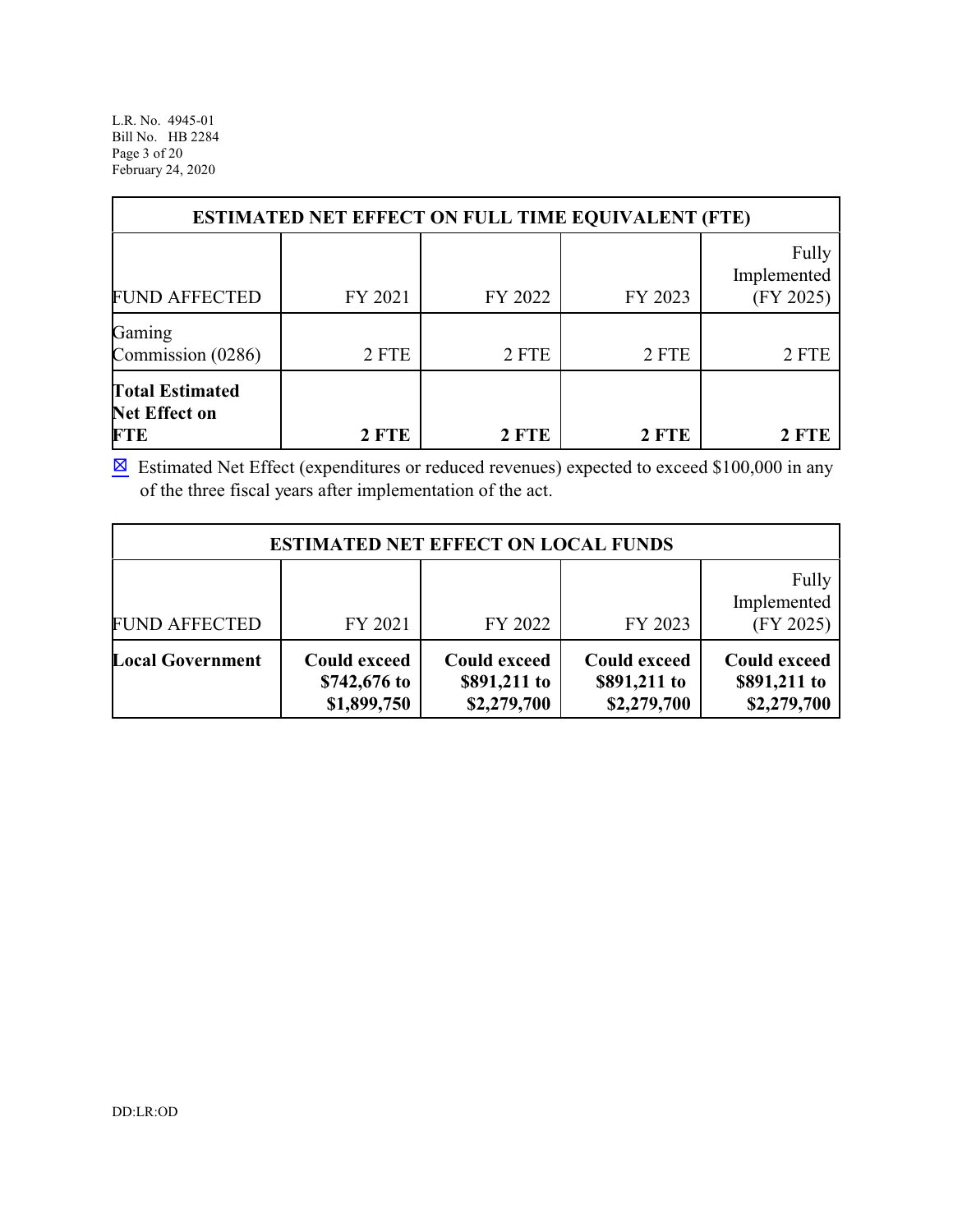L.R. No. 4945-01 Bill No. HB 2284 Page 3 of 20 February 24, 2020

| <b>ESTIMATED NET EFFECT ON FULL TIME EQUIVALENT (FTE)</b>    |              |         |         |                                   |  |
|--------------------------------------------------------------|--------------|---------|---------|-----------------------------------|--|
| <b>FUND AFFECTED</b>                                         | FY 2021      | FY 2022 | FY 2023 | Fully<br>Implemented<br>(FY 2025) |  |
| Gaming<br>Commission (0286)                                  | 2 FTE        | 2 FTE   | 2 FTE   | 2 FTE                             |  |
| <b>Total Estimated</b><br><b>Net Effect on</b><br><b>FTE</b> | <b>2 FTE</b> | 2 FTE   | 2 FTE   | <b>2 FTE</b>                      |  |

 $\boxtimes$  Estimated Net Effect (expenditures or reduced revenues) expected to exceed \$100,000 in any of the three fiscal years after implementation of the act.

| <b>ESTIMATED NET EFFECT ON LOCAL FUNDS</b> |                                                    |                                                    |                                                    |                                                    |  |  |
|--------------------------------------------|----------------------------------------------------|----------------------------------------------------|----------------------------------------------------|----------------------------------------------------|--|--|
| <b>FUND AFFECTED</b>                       | FY 2021                                            | FY 2022                                            | FY 2023                                            | Fully<br>Implemented<br>(FY 2025)                  |  |  |
| <b>Local Government</b>                    | <b>Could exceed</b><br>\$742,676 to<br>\$1,899,750 | <b>Could exceed</b><br>\$891,211 to<br>\$2,279,700 | <b>Could exceed</b><br>\$891,211 to<br>\$2,279,700 | <b>Could exceed</b><br>\$891,211 to<br>\$2,279,700 |  |  |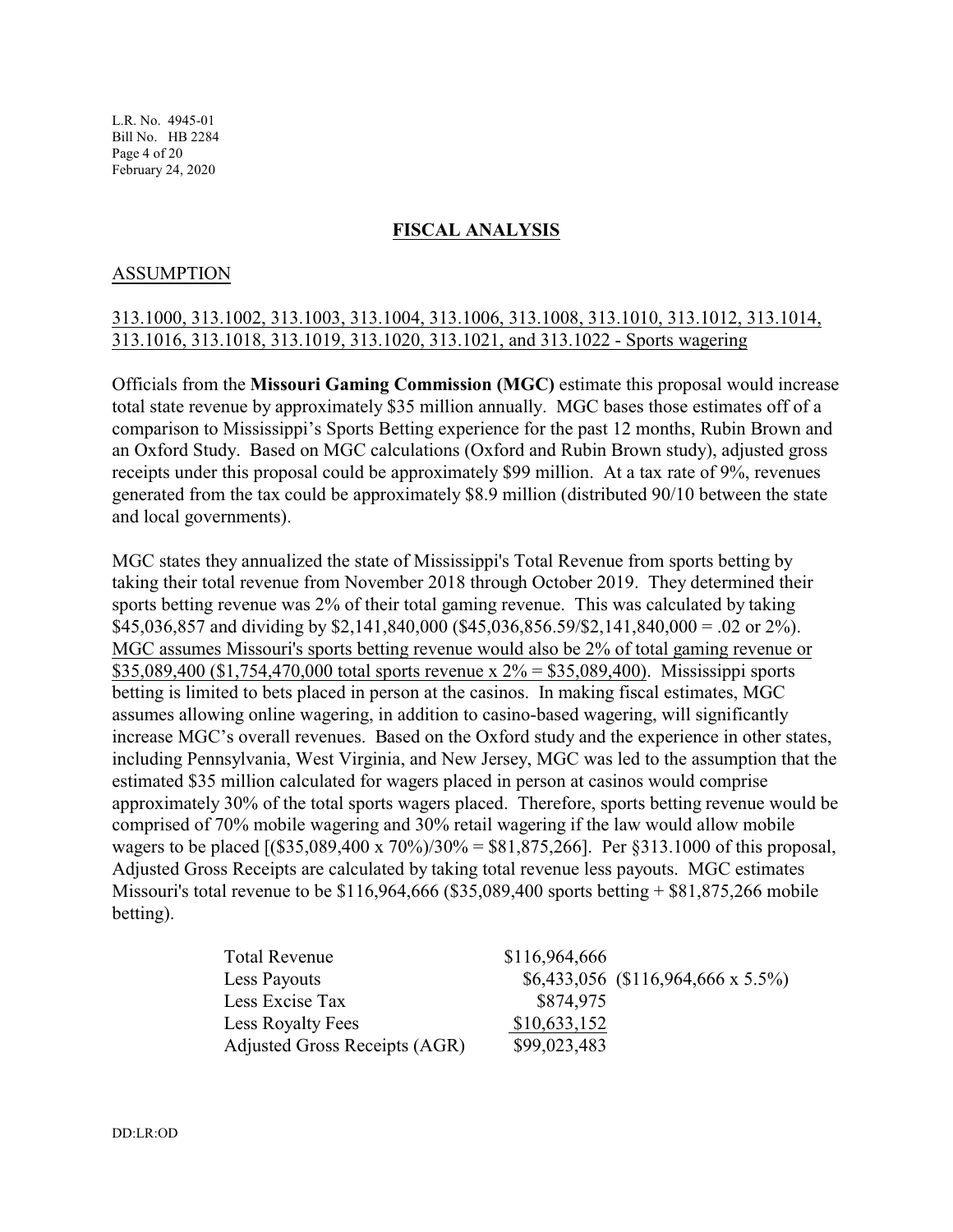L.R. No. 4945-01 Bill No. HB 2284 Page 4 of 20 February 24, 2020

#### **FISCAL ANALYSIS**

#### ASSUMPTION

## 313.1000, 313.1002, 313.1003, 313.1004, 313.1006, 313.1008, 313.1010, 313.1012, 313.1014, 313.1016, 313.1018, 313.1019, 313.1020, 313.1021, and 313.1022 - Sports wagering

Officials from the **Missouri Gaming Commission (MGC)** estimate this proposal would increase total state revenue by approximately \$35 million annually. MGC bases those estimates off of a comparison to Mississippi's Sports Betting experience for the past 12 months, Rubin Brown and an Oxford Study. Based on MGC calculations (Oxford and Rubin Brown study), adjusted gross receipts under this proposal could be approximately \$99 million. At a tax rate of 9%, revenues generated from the tax could be approximately \$8.9 million (distributed 90/10 between the state and local governments).

MGC states they annualized the state of Mississippi's Total Revenue from sports betting by taking their total revenue from November 2018 through October 2019. They determined their sports betting revenue was 2% of their total gaming revenue. This was calculated by taking \$45,036,857 and dividing by \$2,141,840,000 (\$45,036,856.59/\$2,141,840,000 = .02 or 2%). MGC assumes Missouri's sports betting revenue would also be 2% of total gaming revenue or \$35,089,400 (\$1,754,470,000 total sports revenue x  $2\% =$  \$35,089,400). Mississippi sports betting is limited to bets placed in person at the casinos. In making fiscal estimates, MGC assumes allowing online wagering, in addition to casino-based wagering, will significantly increase MGC's overall revenues. Based on the Oxford study and the experience in other states, including Pennsylvania, West Virginia, and New Jersey, MGC was led to the assumption that the estimated \$35 million calculated for wagers placed in person at casinos would comprise approximately 30% of the total sports wagers placed. Therefore, sports betting revenue would be comprised of 70% mobile wagering and 30% retail wagering if the law would allow mobile wagers to be placed [(\$35,089,400 x 70%)/30% = \$81,875,266]. Per §313.1000 of this proposal, Adjusted Gross Receipts are calculated by taking total revenue less payouts. MGC estimates Missouri's total revenue to be \$116,964,666 (\$35,089,400 sports betting + \$81,875,266 mobile betting).

| <b>Total Revenue</b>          | \$116,964,666 |                                     |
|-------------------------------|---------------|-------------------------------------|
| Less Payouts                  |               | $$6,433,056$ (\$116,964,666 x 5.5%) |
| Less Excise Tax               | \$874,975     |                                     |
| Less Royalty Fees             | \$10,633,152  |                                     |
| Adjusted Gross Receipts (AGR) | \$99,023,483  |                                     |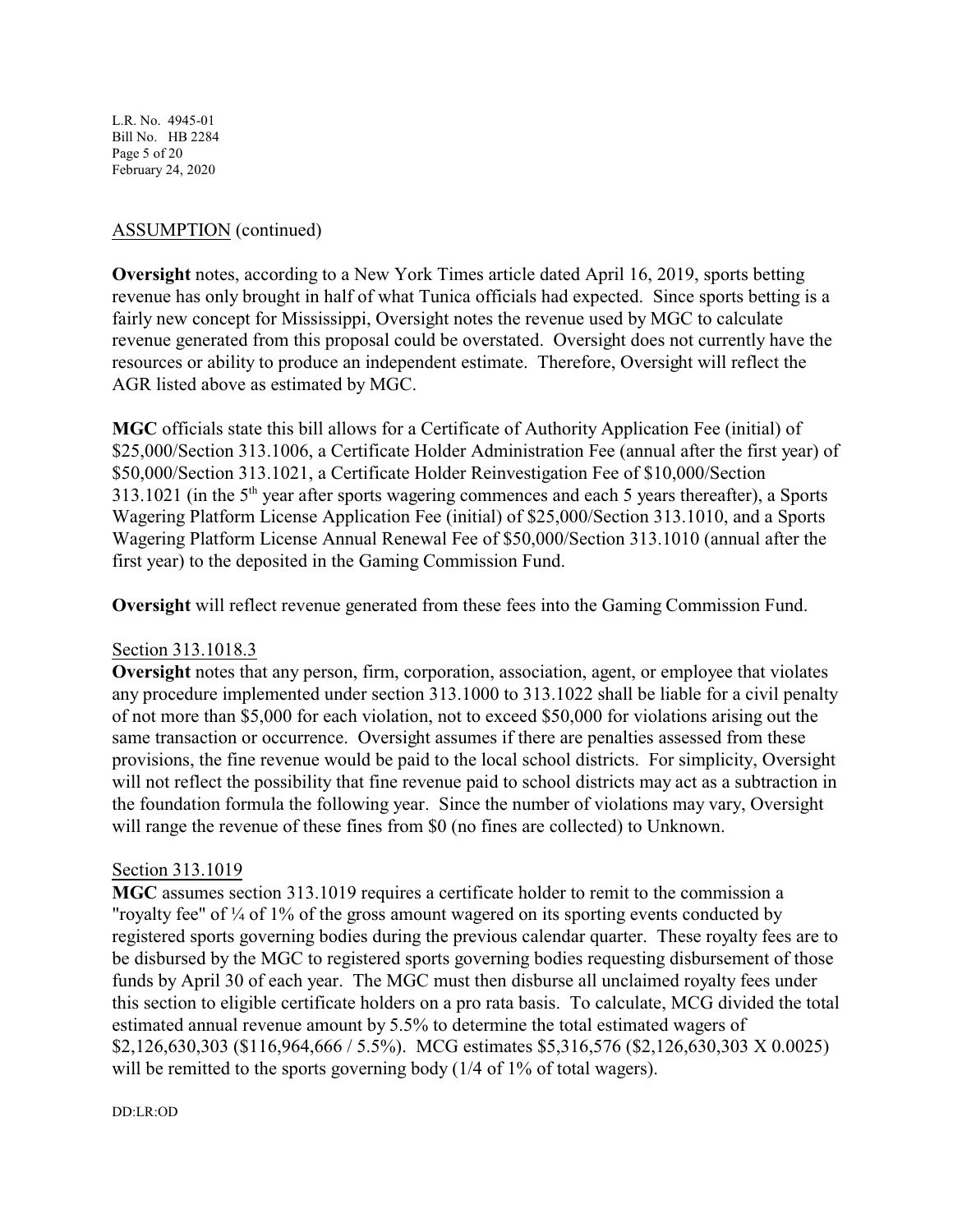L.R. No. 4945-01 Bill No. HB 2284 Page 5 of 20 February 24, 2020

## ASSUMPTION (continued)

**Oversight** notes, according to a New York Times article dated April 16, 2019, sports betting revenue has only brought in half of what Tunica officials had expected. Since sports betting is a fairly new concept for Mississippi, Oversight notes the revenue used by MGC to calculate revenue generated from this proposal could be overstated. Oversight does not currently have the resources or ability to produce an independent estimate. Therefore, Oversight will reflect the AGR listed above as estimated by MGC.

**MGC** officials state this bill allows for a Certificate of Authority Application Fee (initial) of \$25,000/Section 313.1006, a Certificate Holder Administration Fee (annual after the first year) of \$50,000/Section 313.1021, a Certificate Holder Reinvestigation Fee of \$10,000/Section 313.1021 (in the  $5<sup>th</sup>$  year after sports wagering commences and each 5 years thereafter), a Sports Wagering Platform License Application Fee (initial) of \$25,000/Section 313.1010, and a Sports Wagering Platform License Annual Renewal Fee of \$50,000/Section 313.1010 (annual after the first year) to the deposited in the Gaming Commission Fund.

**Oversight** will reflect revenue generated from these fees into the Gaming Commission Fund.

#### Section 313.1018.3

**Oversight** notes that any person, firm, corporation, association, agent, or employee that violates any procedure implemented under section 313.1000 to 313.1022 shall be liable for a civil penalty of not more than \$5,000 for each violation, not to exceed \$50,000 for violations arising out the same transaction or occurrence. Oversight assumes if there are penalties assessed from these provisions, the fine revenue would be paid to the local school districts. For simplicity, Oversight will not reflect the possibility that fine revenue paid to school districts may act as a subtraction in the foundation formula the following year. Since the number of violations may vary, Oversight will range the revenue of these fines from \$0 (no fines are collected) to Unknown.

#### Section 313.1019

**MGC** assumes section 313.1019 requires a certificate holder to remit to the commission a "royalty fee" of  $\frac{1}{4}$  of 1% of the gross amount wagered on its sporting events conducted by registered sports governing bodies during the previous calendar quarter. These royalty fees are to be disbursed by the MGC to registered sports governing bodies requesting disbursement of those funds by April 30 of each year. The MGC must then disburse all unclaimed royalty fees under this section to eligible certificate holders on a pro rata basis. To calculate, MCG divided the total estimated annual revenue amount by 5.5% to determine the total estimated wagers of \$2,126,630,303 (\$116,964,666 / 5.5%). MCG estimates \$5,316,576 (\$2,126,630,303 X 0.0025) will be remitted to the sports governing body (1/4 of 1% of total wagers).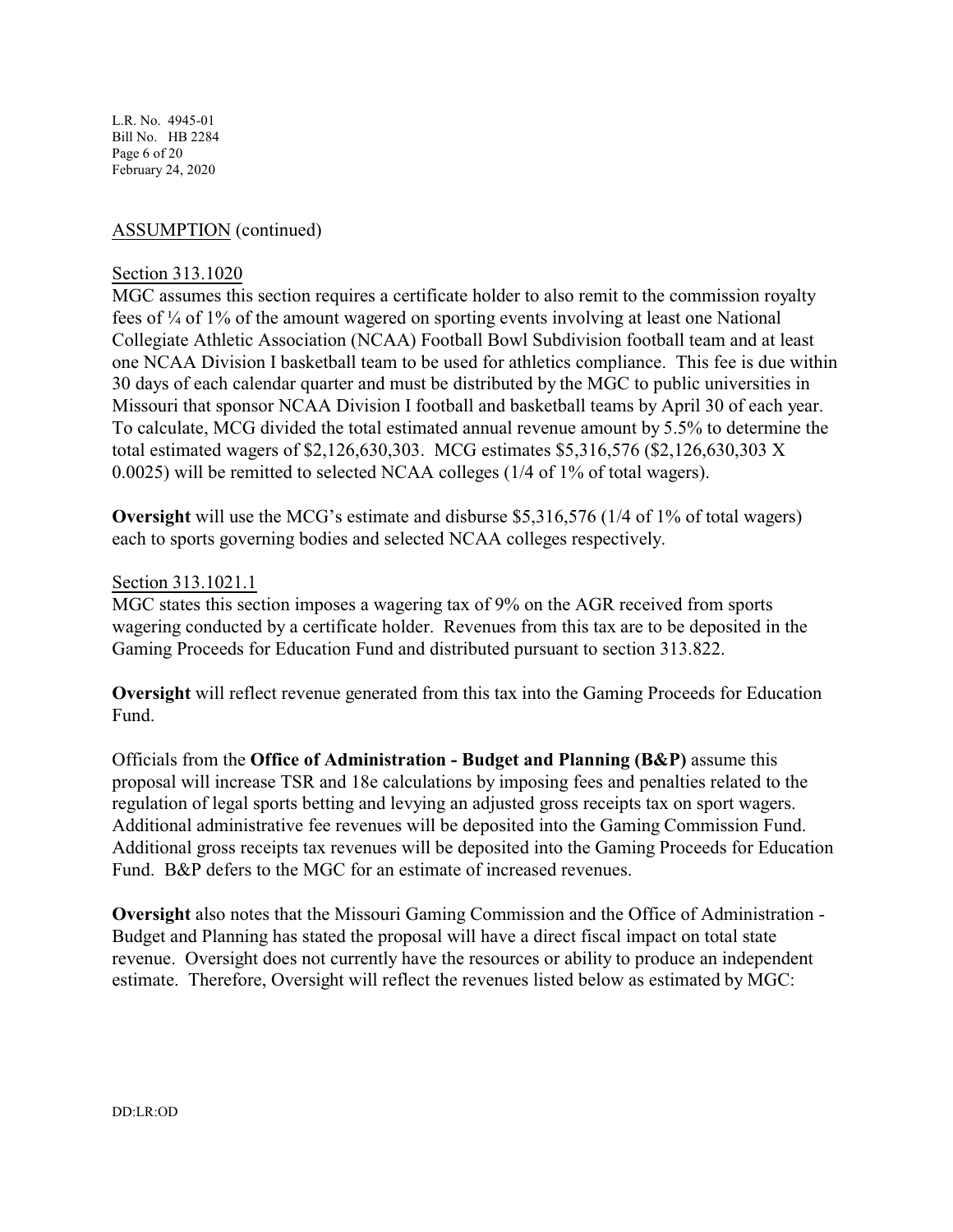L.R. No. 4945-01 Bill No. HB 2284 Page 6 of 20 February 24, 2020

## ASSUMPTION (continued)

#### Section 313.1020

MGC assumes this section requires a certificate holder to also remit to the commission royalty fees of ¼ of 1% of the amount wagered on sporting events involving at least one National Collegiate Athletic Association (NCAA) Football Bowl Subdivision football team and at least one NCAA Division I basketball team to be used for athletics compliance. This fee is due within 30 days of each calendar quarter and must be distributed by the MGC to public universities in Missouri that sponsor NCAA Division I football and basketball teams by April 30 of each year. To calculate, MCG divided the total estimated annual revenue amount by 5.5% to determine the total estimated wagers of \$2,126,630,303. MCG estimates \$5,316,576 (\$2,126,630,303 X 0.0025) will be remitted to selected NCAA colleges (1/4 of 1% of total wagers).

**Oversight** will use the MCG's estimate and disburse \$5,316,576 (1/4 of 1% of total wagers) each to sports governing bodies and selected NCAA colleges respectively.

#### Section 313.1021.1

MGC states this section imposes a wagering tax of 9% on the AGR received from sports wagering conducted by a certificate holder. Revenues from this tax are to be deposited in the Gaming Proceeds for Education Fund and distributed pursuant to section 313.822.

**Oversight** will reflect revenue generated from this tax into the Gaming Proceeds for Education Fund.

Officials from the **Office of Administration - Budget and Planning (B&P)** assume this proposal will increase TSR and 18e calculations by imposing fees and penalties related to the regulation of legal sports betting and levying an adjusted gross receipts tax on sport wagers. Additional administrative fee revenues will be deposited into the Gaming Commission Fund. Additional gross receipts tax revenues will be deposited into the Gaming Proceeds for Education Fund. B&P defers to the MGC for an estimate of increased revenues.

**Oversight** also notes that the Missouri Gaming Commission and the Office of Administration - Budget and Planning has stated the proposal will have a direct fiscal impact on total state revenue. Oversight does not currently have the resources or ability to produce an independent estimate. Therefore, Oversight will reflect the revenues listed below as estimated by MGC: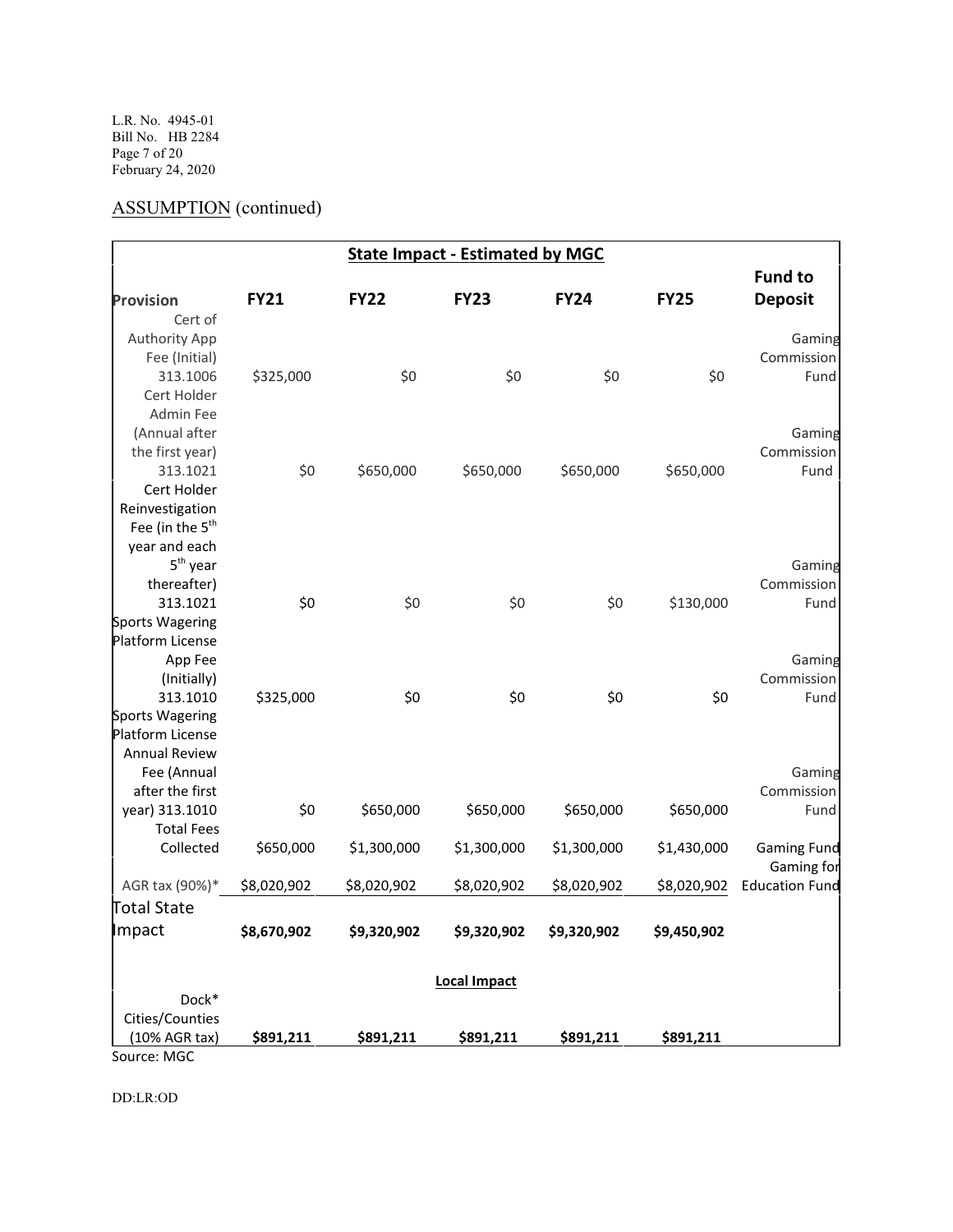L.R. No. 4945-01 Bill No. HB 2284 Page 7 of 20 February 24, 2020

# ASSUMPTION (continued)

|                             | <b>State Impact - Estimated by MGC</b> |             |                     |             |             |                       |  |
|-----------------------------|----------------------------------------|-------------|---------------------|-------------|-------------|-----------------------|--|
|                             |                                        |             |                     |             |             | <b>Fund to</b>        |  |
| <b>Provision</b>            | <b>FY21</b>                            | <b>FY22</b> | <b>FY23</b>         | <b>FY24</b> | <b>FY25</b> | <b>Deposit</b>        |  |
| Cert of                     |                                        |             |                     |             |             |                       |  |
| <b>Authority App</b>        |                                        |             |                     |             |             | Gaming                |  |
| Fee (Initial)               |                                        |             |                     |             |             | Commission            |  |
| 313.1006                    | \$325,000                              | \$0         | \$0                 | \$0         | \$0         | Fund                  |  |
| Cert Holder                 |                                        |             |                     |             |             |                       |  |
| <b>Admin Fee</b>            |                                        |             |                     |             |             |                       |  |
| (Annual after               |                                        |             |                     |             |             | Gaming                |  |
| the first year)             |                                        |             |                     |             |             | Commission            |  |
| 313.1021                    | \$0                                    | \$650,000   | \$650,000           | \$650,000   | \$650,000   | Fund                  |  |
| Cert Holder                 |                                        |             |                     |             |             |                       |  |
| Reinvestigation             |                                        |             |                     |             |             |                       |  |
| Fee (in the 5 <sup>th</sup> |                                        |             |                     |             |             |                       |  |
| year and each               |                                        |             |                     |             |             |                       |  |
| $5th$ year                  |                                        |             |                     |             |             | Gaming                |  |
| thereafter)                 |                                        |             |                     |             |             | Commission            |  |
| 313.1021                    | \$0                                    | \$0         | \$0                 | \$0         | \$130,000   | Fund                  |  |
| <b>Sports Wagering</b>      |                                        |             |                     |             |             |                       |  |
| <b>Platform License</b>     |                                        |             |                     |             |             |                       |  |
| App Fee                     |                                        |             |                     |             |             | Gaming                |  |
| (Initially)                 |                                        |             |                     |             |             | Commission            |  |
| 313.1010                    | \$325,000                              | \$0         | \$0                 | \$0         | \$0         | Fund                  |  |
| <b>Sports Wagering</b>      |                                        |             |                     |             |             |                       |  |
| <b>Platform License</b>     |                                        |             |                     |             |             |                       |  |
| <b>Annual Review</b>        |                                        |             |                     |             |             |                       |  |
| Fee (Annual                 |                                        |             |                     |             |             | Gaming                |  |
| after the first             |                                        |             |                     |             |             | Commission            |  |
| year) 313.1010              | \$0                                    | \$650,000   | \$650,000           | \$650,000   | \$650,000   | Fund                  |  |
| <b>Total Fees</b>           |                                        |             |                     |             |             |                       |  |
| Collected                   | \$650,000                              | \$1,300,000 | \$1,300,000         | \$1,300,000 | \$1,430,000 | <b>Gaming Fund</b>    |  |
|                             |                                        |             |                     |             |             | Gaming for            |  |
| AGR tax (90%)*              | \$8,020,902                            | \$8,020,902 | \$8,020,902         | \$8,020,902 | \$8,020,902 | <b>Education Fund</b> |  |
| <b>Total State</b>          |                                        |             |                     |             |             |                       |  |
| Impact                      | \$8,670,902                            | \$9,320,902 | \$9,320,902         | \$9,320,902 | \$9,450,902 |                       |  |
|                             |                                        |             |                     |             |             |                       |  |
|                             |                                        |             | <b>Local Impact</b> |             |             |                       |  |
| Dock*                       |                                        |             |                     |             |             |                       |  |
| Cities/Counties             |                                        |             |                     |             |             |                       |  |
| (10% AGR tax)               | \$891,211                              | \$891,211   | \$891,211           | \$891,211   | \$891,211   |                       |  |
| Source: MGC                 |                                        |             |                     |             |             |                       |  |

DD:LR:OD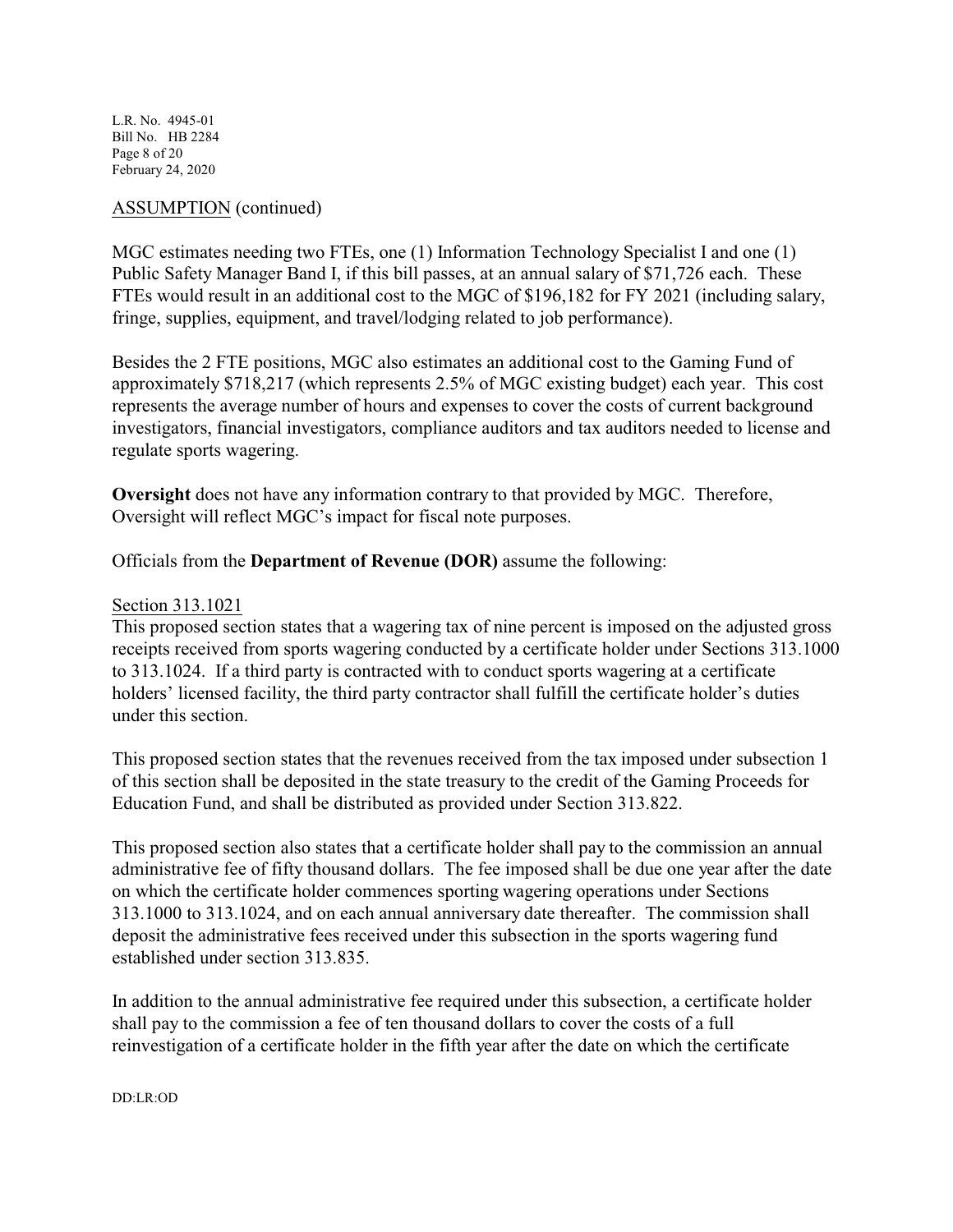L.R. No. 4945-01 Bill No. HB 2284 Page 8 of 20 February 24, 2020

## ASSUMPTION (continued)

MGC estimates needing two FTEs, one (1) Information Technology Specialist I and one (1) Public Safety Manager Band I, if this bill passes, at an annual salary of \$71,726 each. These FTEs would result in an additional cost to the MGC of \$196,182 for FY 2021 (including salary, fringe, supplies, equipment, and travel/lodging related to job performance).

Besides the 2 FTE positions, MGC also estimates an additional cost to the Gaming Fund of approximately \$718,217 (which represents 2.5% of MGC existing budget) each year. This cost represents the average number of hours and expenses to cover the costs of current background investigators, financial investigators, compliance auditors and tax auditors needed to license and regulate sports wagering.

**Oversight** does not have any information contrary to that provided by MGC. Therefore, Oversight will reflect MGC's impact for fiscal note purposes.

Officials from the **Department of Revenue (DOR)** assume the following:

#### Section 313.1021

This proposed section states that a wagering tax of nine percent is imposed on the adjusted gross receipts received from sports wagering conducted by a certificate holder under Sections 313.1000 to 313.1024. If a third party is contracted with to conduct sports wagering at a certificate holders' licensed facility, the third party contractor shall fulfill the certificate holder's duties under this section.

This proposed section states that the revenues received from the tax imposed under subsection 1 of this section shall be deposited in the state treasury to the credit of the Gaming Proceeds for Education Fund, and shall be distributed as provided under Section 313.822.

This proposed section also states that a certificate holder shall pay to the commission an annual administrative fee of fifty thousand dollars. The fee imposed shall be due one year after the date on which the certificate holder commences sporting wagering operations under Sections 313.1000 to 313.1024, and on each annual anniversary date thereafter. The commission shall deposit the administrative fees received under this subsection in the sports wagering fund established under section 313.835.

In addition to the annual administrative fee required under this subsection, a certificate holder shall pay to the commission a fee of ten thousand dollars to cover the costs of a full reinvestigation of a certificate holder in the fifth year after the date on which the certificate

DD:LR:OD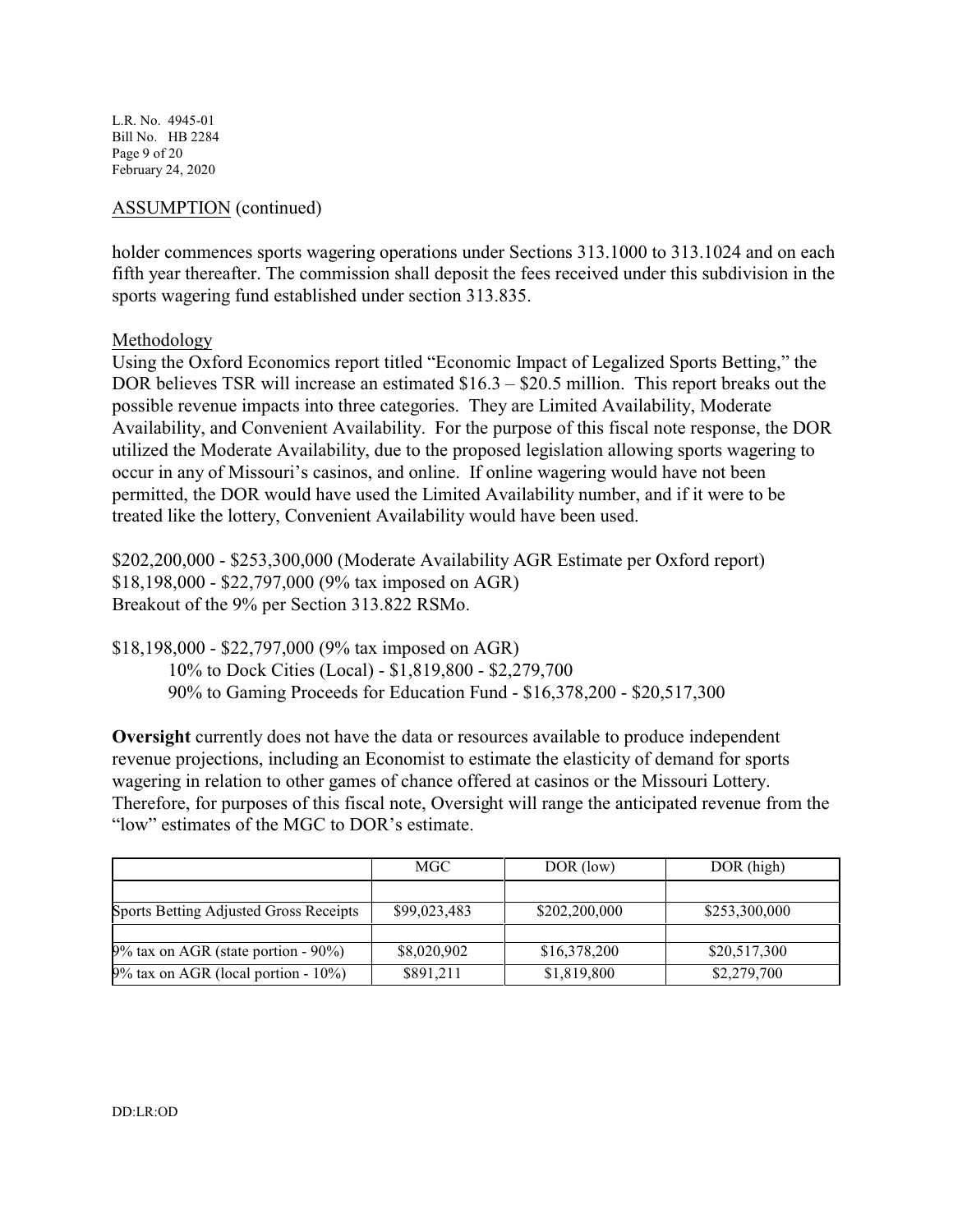L.R. No. 4945-01 Bill No. HB 2284 Page 9 of 20 February 24, 2020

## ASSUMPTION (continued)

holder commences sports wagering operations under Sections 313.1000 to 313.1024 and on each fifth year thereafter. The commission shall deposit the fees received under this subdivision in the sports wagering fund established under section 313.835.

#### Methodology

Using the Oxford Economics report titled "Economic Impact of Legalized Sports Betting," the DOR believes TSR will increase an estimated \$16.3 – \$20.5 million. This report breaks out the possible revenue impacts into three categories. They are Limited Availability, Moderate Availability, and Convenient Availability. For the purpose of this fiscal note response, the DOR utilized the Moderate Availability, due to the proposed legislation allowing sports wagering to occur in any of Missouri's casinos, and online. If online wagering would have not been permitted, the DOR would have used the Limited Availability number, and if it were to be treated like the lottery, Convenient Availability would have been used.

\$202,200,000 - \$253,300,000 (Moderate Availability AGR Estimate per Oxford report) \$18,198,000 - \$22,797,000 (9% tax imposed on AGR) Breakout of the 9% per Section 313.822 RSMo.

\$18,198,000 - \$22,797,000 (9% tax imposed on AGR) 10% to Dock Cities (Local) - \$1,819,800 - \$2,279,700 90% to Gaming Proceeds for Education Fund - \$16,378,200 - \$20,517,300

**Oversight** currently does not have the data or resources available to produce independent revenue projections, including an Economist to estimate the elasticity of demand for sports wagering in relation to other games of chance offered at casinos or the Missouri Lottery. Therefore, for purposes of this fiscal note, Oversight will range the anticipated revenue from the "low" estimates of the MGC to DOR's estimate.

|                                            | MGC          | DOR (low)     | DOR (high)    |
|--------------------------------------------|--------------|---------------|---------------|
|                                            |              |               |               |
| Sports Betting Adjusted Gross Receipts     | \$99,023,483 | \$202,200,000 | \$253,300,000 |
|                                            |              |               |               |
| $9\%$ tax on AGR (state portion - $90\%$ ) | \$8,020,902  | \$16,378,200  | \$20,517,300  |
| $9\%$ tax on AGR (local portion - $10\%$ ) | \$891,211    | \$1,819,800   | \$2,279,700   |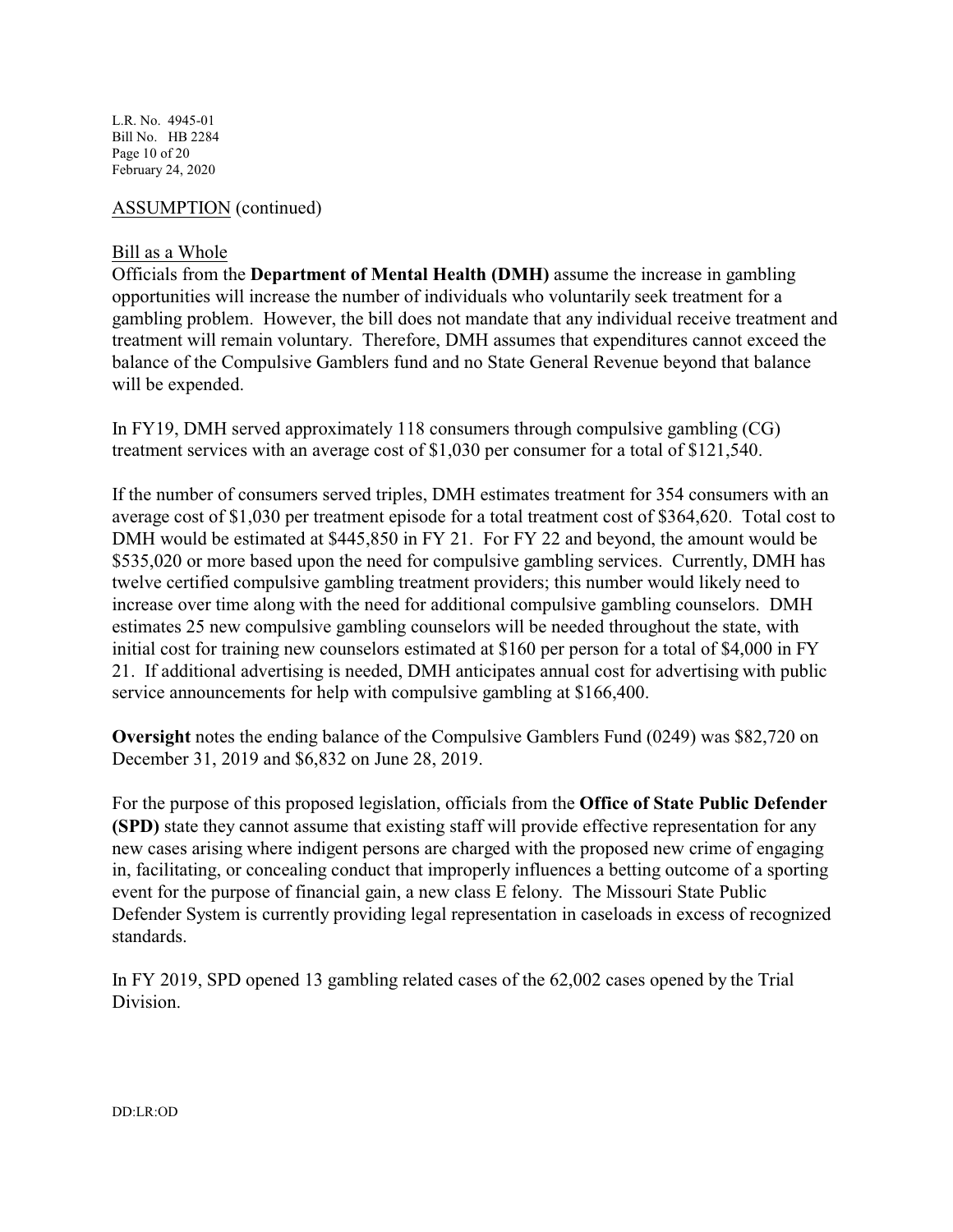L.R. No. 4945-01 Bill No. HB 2284 Page 10 of 20 February 24, 2020

#### ASSUMPTION (continued)

#### Bill as a Whole

Officials from the **Department of Mental Health (DMH)** assume the increase in gambling opportunities will increase the number of individuals who voluntarily seek treatment for a gambling problem. However, the bill does not mandate that any individual receive treatment and treatment will remain voluntary. Therefore, DMH assumes that expenditures cannot exceed the balance of the Compulsive Gamblers fund and no State General Revenue beyond that balance will be expended.

In FY19, DMH served approximately 118 consumers through compulsive gambling (CG) treatment services with an average cost of \$1,030 per consumer for a total of \$121,540.

If the number of consumers served triples, DMH estimates treatment for 354 consumers with an average cost of \$1,030 per treatment episode for a total treatment cost of \$364,620. Total cost to DMH would be estimated at \$445,850 in FY 21. For FY 22 and beyond, the amount would be \$535,020 or more based upon the need for compulsive gambling services. Currently, DMH has twelve certified compulsive gambling treatment providers; this number would likely need to increase over time along with the need for additional compulsive gambling counselors. DMH estimates 25 new compulsive gambling counselors will be needed throughout the state, with initial cost for training new counselors estimated at \$160 per person for a total of \$4,000 in FY 21. If additional advertising is needed, DMH anticipates annual cost for advertising with public service announcements for help with compulsive gambling at \$166,400.

**Oversight** notes the ending balance of the Compulsive Gamblers Fund (0249) was \$82,720 on December 31, 2019 and \$6,832 on June 28, 2019.

For the purpose of this proposed legislation, officials from the **Office of State Public Defender (SPD)** state they cannot assume that existing staff will provide effective representation for any new cases arising where indigent persons are charged with the proposed new crime of engaging in, facilitating, or concealing conduct that improperly influences a betting outcome of a sporting event for the purpose of financial gain, a new class E felony. The Missouri State Public Defender System is currently providing legal representation in caseloads in excess of recognized standards.

In FY 2019, SPD opened 13 gambling related cases of the 62,002 cases opened by the Trial Division.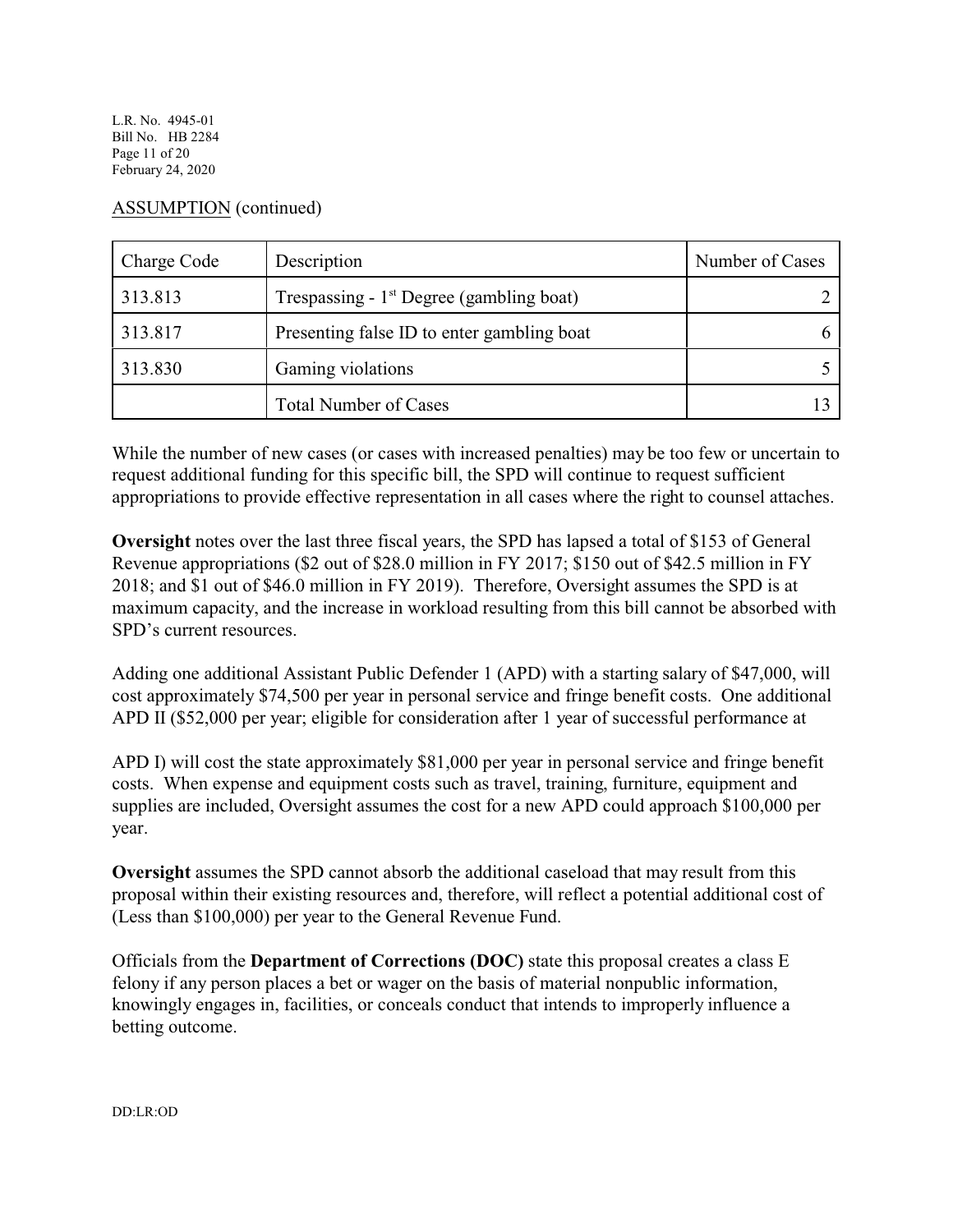L.R. No. 4945-01 Bill No. HB 2284 Page 11 of 20 February 24, 2020

#### ASSUMPTION (continued)

| Charge Code | Description                                | Number of Cases |
|-------------|--------------------------------------------|-----------------|
| 313.813     | Trespassing - $1st$ Degree (gambling boat) |                 |
| 313.817     | Presenting false ID to enter gambling boat |                 |
| 313.830     | Gaming violations                          |                 |
|             | <b>Total Number of Cases</b>               |                 |

While the number of new cases (or cases with increased penalties) may be too few or uncertain to request additional funding for this specific bill, the SPD will continue to request sufficient appropriations to provide effective representation in all cases where the right to counsel attaches.

**Oversight** notes over the last three fiscal years, the SPD has lapsed a total of \$153 of General Revenue appropriations (\$2 out of \$28.0 million in FY 2017; \$150 out of \$42.5 million in FY 2018; and \$1 out of \$46.0 million in FY 2019). Therefore, Oversight assumes the SPD is at maximum capacity, and the increase in workload resulting from this bill cannot be absorbed with SPD's current resources.

Adding one additional Assistant Public Defender 1 (APD) with a starting salary of \$47,000, will cost approximately \$74,500 per year in personal service and fringe benefit costs. One additional APD II (\$52,000 per year; eligible for consideration after 1 year of successful performance at

APD I) will cost the state approximately \$81,000 per year in personal service and fringe benefit costs. When expense and equipment costs such as travel, training, furniture, equipment and supplies are included, Oversight assumes the cost for a new APD could approach \$100,000 per year.

**Oversight** assumes the SPD cannot absorb the additional caseload that may result from this proposal within their existing resources and, therefore, will reflect a potential additional cost of (Less than \$100,000) per year to the General Revenue Fund.

Officials from the **Department of Corrections (DOC)** state this proposal creates a class E felony if any person places a bet or wager on the basis of material nonpublic information, knowingly engages in, facilities, or conceals conduct that intends to improperly influence a betting outcome.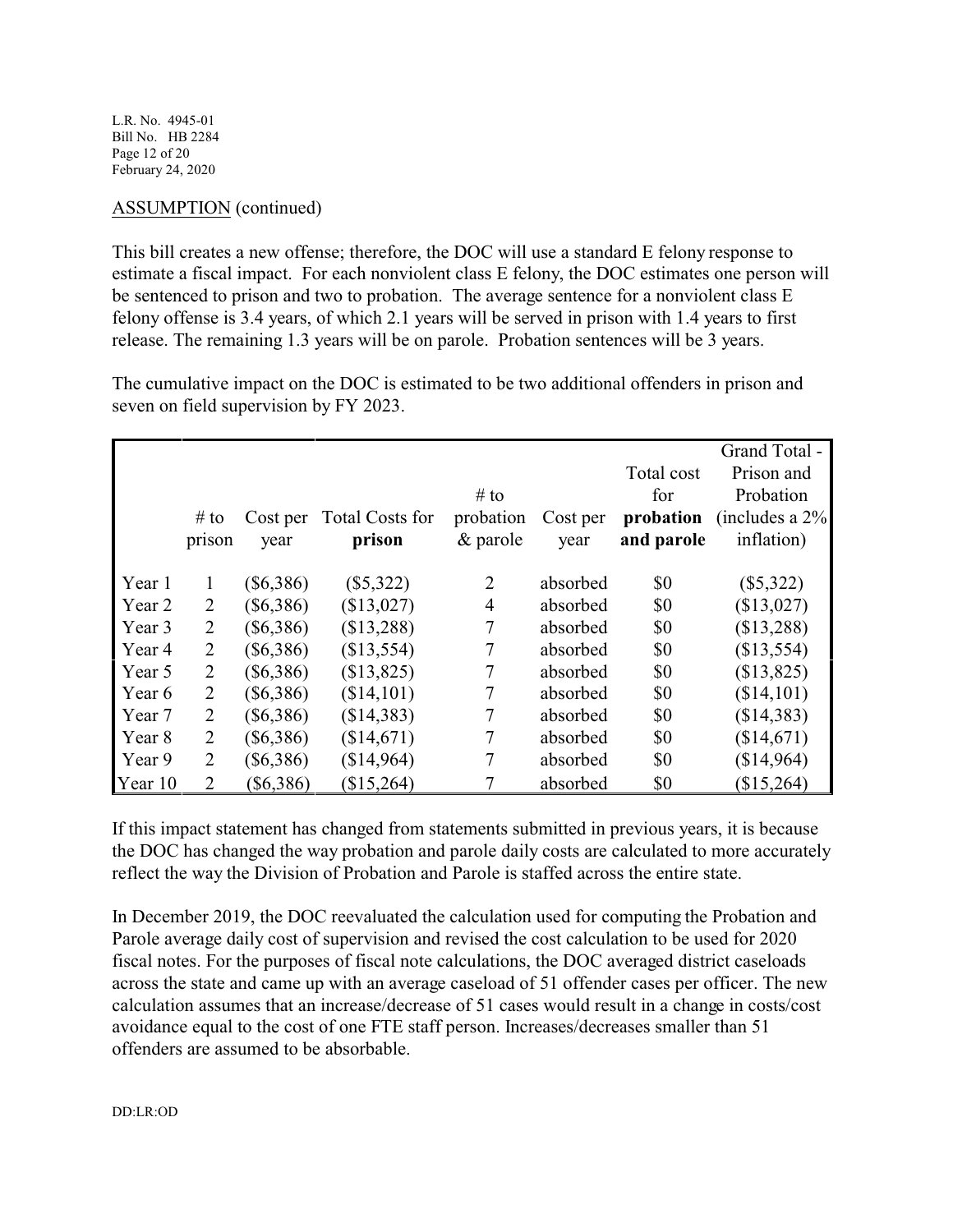L.R. No. 4945-01 Bill No. HB 2284 Page 12 of 20 February 24, 2020

# ASSUMPTION (continued)

This bill creates a new offense; therefore, the DOC will use a standard E felony response to estimate a fiscal impact. For each nonviolent class E felony, the DOC estimates one person will be sentenced to prison and two to probation. The average sentence for a nonviolent class E felony offense is 3.4 years, of which 2.1 years will be served in prison with 1.4 years to first release. The remaining 1.3 years will be on parole. Probation sentences will be 3 years.

The cumulative impact on the DOC is estimated to be two additional offenders in prison and seven on field supervision by FY 2023.

|         |                |             |                        |                |          |            | Grand Total -       |
|---------|----------------|-------------|------------------------|----------------|----------|------------|---------------------|
|         |                |             |                        |                |          | Total cost | Prison and          |
|         |                |             |                        | $#$ to         |          | for        | Probation           |
|         | # to           | Cost per    | <b>Total Costs for</b> | probation      | Cost per | probation  | (includes a $2\%$ ) |
|         | prison         | year        | prison                 | $&$ parole     | year     | and parole | inflation)          |
|         |                |             |                        |                |          |            |                     |
| Year 1  | 1              | $(\$6,386)$ | $(\$5,322)$            | $\overline{2}$ | absorbed | \$0        | $(\$5,322)$         |
| Year 2  | 2              | $(\$6,386)$ | (\$13,027)             | $\overline{4}$ | absorbed | \$0        | (\$13,027)          |
| Year 3  | $\overline{2}$ | $(\$6,386)$ | (\$13,288)             | 7              | absorbed | \$0        | (\$13,288)          |
| Year 4  | $\overline{2}$ | $(\$6,386)$ | (\$13,554)             | 7              | absorbed | \$0        | (\$13,554)          |
| Year 5  | $\overline{2}$ | $(\$6,386)$ | (\$13,825)             | 7              | absorbed | \$0        | (\$13,825)          |
| Year 6  | $\overline{2}$ | $(\$6,386)$ | (\$14,101)             | 7              | absorbed | \$0        | (\$14,101)          |
| Year 7  | 2              | $(\$6,386)$ | (\$14,383)             | 7              | absorbed | \$0        | (\$14,383)          |
| Year 8  | 2              | $(\$6,386)$ | (\$14,671)             | 7              | absorbed | \$0        | (\$14,671)          |
| Year 9  | 2              | $(\$6,386)$ | (\$14,964)             | 7              | absorbed | \$0        | (\$14,964)          |
| Year 10 | $\overline{2}$ | $(\$6,386)$ | \$15,264               |                | absorbed | \$0        | (\$15,264)          |

If this impact statement has changed from statements submitted in previous years, it is because the DOC has changed the way probation and parole daily costs are calculated to more accurately reflect the way the Division of Probation and Parole is staffed across the entire state.

In December 2019, the DOC reevaluated the calculation used for computing the Probation and Parole average daily cost of supervision and revised the cost calculation to be used for 2020 fiscal notes. For the purposes of fiscal note calculations, the DOC averaged district caseloads across the state and came up with an average caseload of 51 offender cases per officer. The new calculation assumes that an increase/decrease of 51 cases would result in a change in costs/cost avoidance equal to the cost of one FTE staff person. Increases/decreases smaller than 51 offenders are assumed to be absorbable.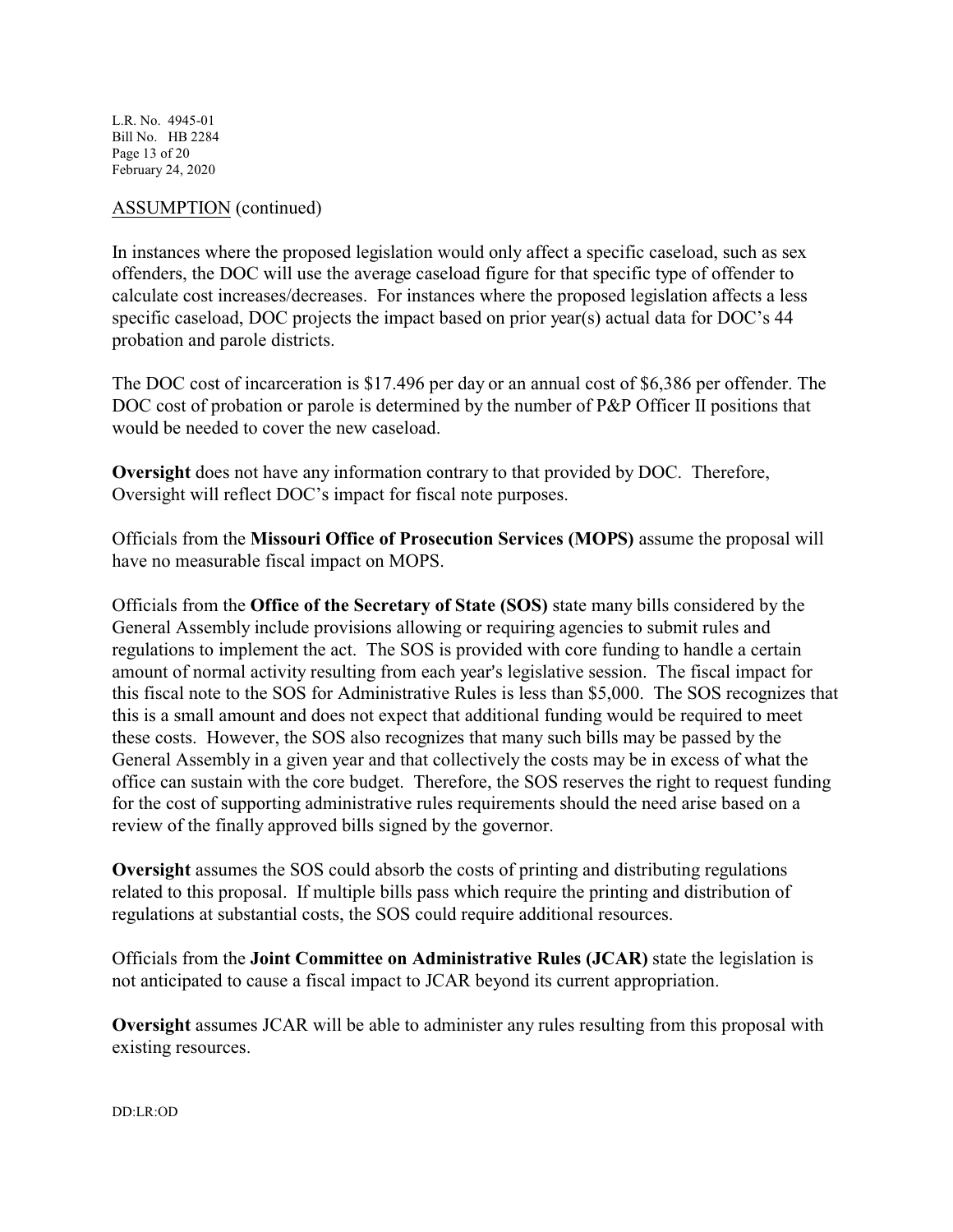L.R. No. 4945-01 Bill No. HB 2284 Page 13 of 20 February 24, 2020

#### ASSUMPTION (continued)

In instances where the proposed legislation would only affect a specific caseload, such as sex offenders, the DOC will use the average caseload figure for that specific type of offender to calculate cost increases/decreases. For instances where the proposed legislation affects a less specific caseload, DOC projects the impact based on prior year(s) actual data for DOC's 44 probation and parole districts.

The DOC cost of incarceration is \$17.496 per day or an annual cost of \$6,386 per offender. The DOC cost of probation or parole is determined by the number of P&P Officer II positions that would be needed to cover the new caseload.

**Oversight** does not have any information contrary to that provided by DOC. Therefore, Oversight will reflect DOC's impact for fiscal note purposes.

Officials from the **Missouri Office of Prosecution Services (MOPS)** assume the proposal will have no measurable fiscal impact on MOPS.

Officials from the **Office of the Secretary of State (SOS)** state many bills considered by the General Assembly include provisions allowing or requiring agencies to submit rules and regulations to implement the act. The SOS is provided with core funding to handle a certain amount of normal activity resulting from each year's legislative session. The fiscal impact for this fiscal note to the SOS for Administrative Rules is less than \$5,000. The SOS recognizes that this is a small amount and does not expect that additional funding would be required to meet these costs. However, the SOS also recognizes that many such bills may be passed by the General Assembly in a given year and that collectively the costs may be in excess of what the office can sustain with the core budget. Therefore, the SOS reserves the right to request funding for the cost of supporting administrative rules requirements should the need arise based on a review of the finally approved bills signed by the governor.

**Oversight** assumes the SOS could absorb the costs of printing and distributing regulations related to this proposal. If multiple bills pass which require the printing and distribution of regulations at substantial costs, the SOS could require additional resources.

Officials from the **Joint Committee on Administrative Rules (JCAR)** state the legislation is not anticipated to cause a fiscal impact to JCAR beyond its current appropriation.

**Oversight** assumes JCAR will be able to administer any rules resulting from this proposal with existing resources.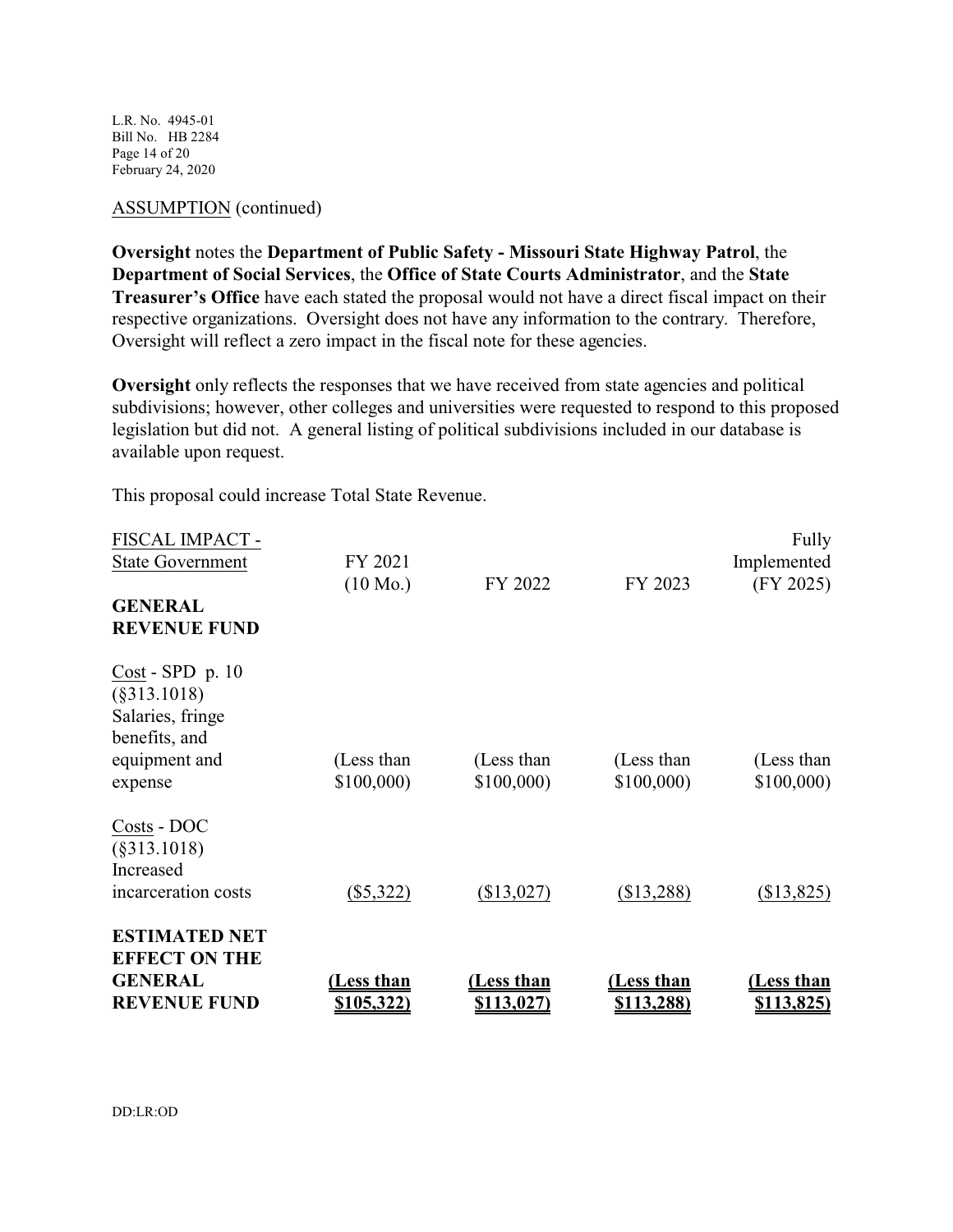L.R. No. 4945-01 Bill No. HB 2284 Page 14 of 20 February 24, 2020

# ASSUMPTION (continued)

**Oversight** notes the **Department of Public Safety - Missouri State Highway Patrol**, the **Department of Social Services**, the **Office of State Courts Administrator**, and the **State Treasurer's Office** have each stated the proposal would not have a direct fiscal impact on their respective organizations. Oversight does not have any information to the contrary. Therefore, Oversight will reflect a zero impact in the fiscal note for these agencies.

**Oversight** only reflects the responses that we have received from state agencies and political subdivisions; however, other colleges and universities were requested to respond to this proposed legislation but did not. A general listing of political subdivisions included in our database is available upon request.

This proposal could increase Total State Revenue.

| <b>GENERAL</b><br><b>REVENUE FUND</b>                                                                 | (Less than<br>\$105,322)      | (Less than<br><u>\$113,027)</u> | <u>Less than</u><br><u>\$113,288)</u> | <u>(Less than</u><br><u>\$113,825)</u> |
|-------------------------------------------------------------------------------------------------------|-------------------------------|---------------------------------|---------------------------------------|----------------------------------------|
| <b>ESTIMATED NET</b><br><b>EFFECT ON THE</b>                                                          |                               |                                 |                                       |                                        |
| Costs - DOC<br>$(\$313.1018)$<br>Increased<br>incarceration costs                                     | $(\$5,322)$                   | (\$13,027)                      | (\$13,288)                            | (\$13,825)                             |
| $Cost - SPD$ p. 10<br>$(\$313.1018)$<br>Salaries, fringe<br>benefits, and<br>equipment and<br>expense | (Less than<br>\$100,000       | (Less than<br>\$100,000         | (Less than<br>\$100,000               | (Less than<br>\$100,000                |
| FISCAL IMPACT -<br><b>State Government</b><br><b>GENERAL</b><br><b>REVENUE FUND</b>                   | FY 2021<br>$(10 \text{ Mo.})$ | FY 2022                         | FY 2023                               | Fully<br>Implemented<br>(FY 2025)      |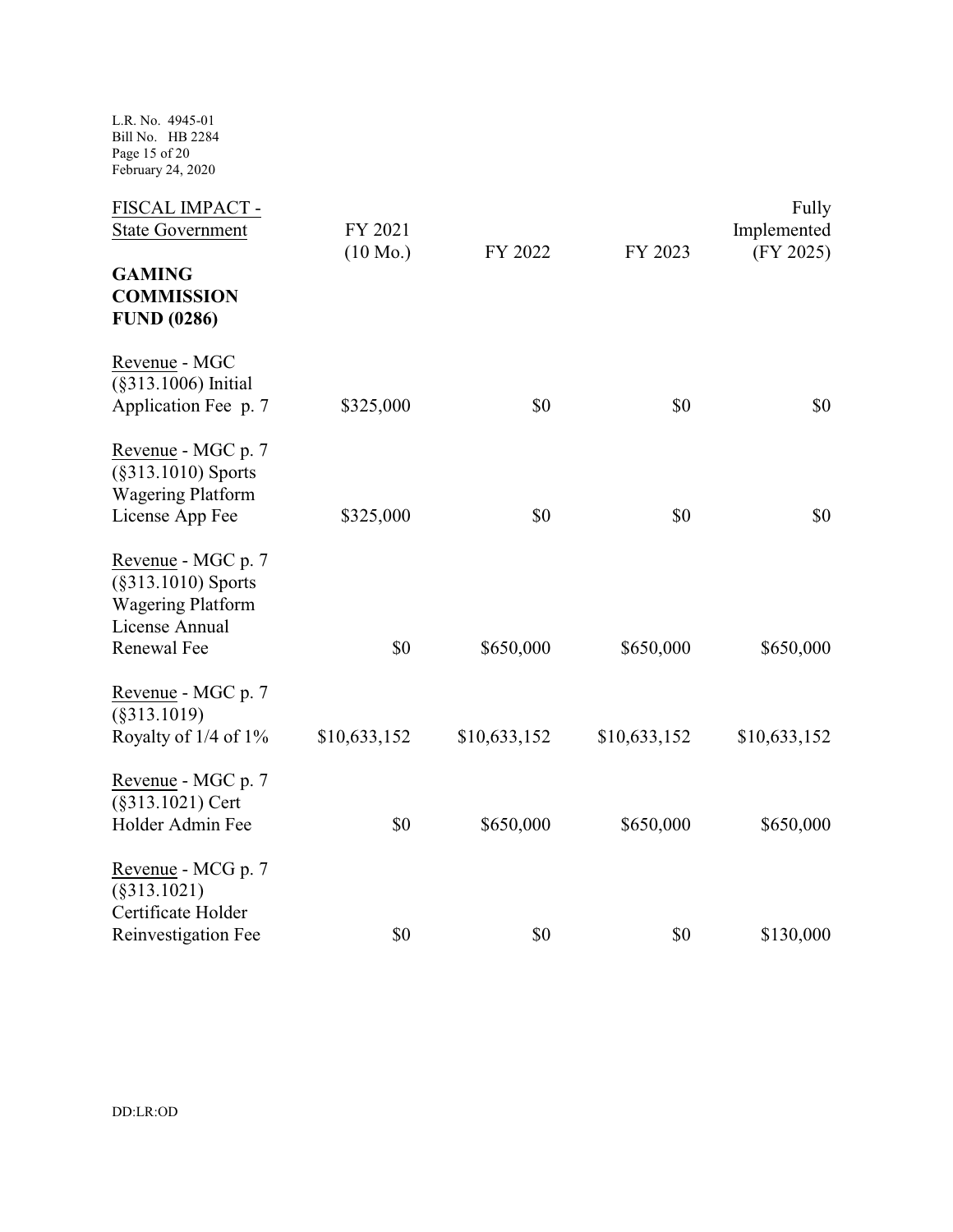L.R. No. 4945-01 Bill No. HB 2284 Page 15 of 20 February 24, 2020

| FISCAL IMPACT -<br><b>State Government</b>                                                               | FY 2021<br>$(10 \text{ Mo.})$ | FY 2022      | FY 2023      | Fully<br>Implemented<br>(FY 2025) |
|----------------------------------------------------------------------------------------------------------|-------------------------------|--------------|--------------|-----------------------------------|
| <b>GAMING</b><br><b>COMMISSION</b><br><b>FUND (0286)</b>                                                 |                               |              |              |                                   |
| Revenue - MGC<br>(§313.1006) Initial<br>Application Fee p. 7                                             | \$325,000                     | \$0          | \$0          | \$0                               |
| Revenue - MGC p. 7<br>(§313.1010) Sports<br><b>Wagering Platform</b><br>License App Fee                  | \$325,000                     | \$0          | \$0          | \$0                               |
| Revenue - MGC p. 7<br>$(\$313.1010)$ Sports<br><b>Wagering Platform</b><br>License Annual<br>Renewal Fee | \$0                           | \$650,000    | \$650,000    | \$650,000                         |
| Revenue - MGC p. 7<br>$(\$313.1019)$<br>Royalty of 1/4 of 1%                                             | \$10,633,152                  | \$10,633,152 | \$10,633,152 | \$10,633,152                      |
| Revenue - MGC p. 7<br>(§313.1021) Cert<br>Holder Admin Fee                                               | \$0                           | \$650,000    | \$650,000    | \$650,000                         |
| Revenue - MCG p. 7<br>(§313.1021)<br>Certificate Holder<br>Reinvestigation Fee                           | \$0                           | \$0          | \$0          | \$130,000                         |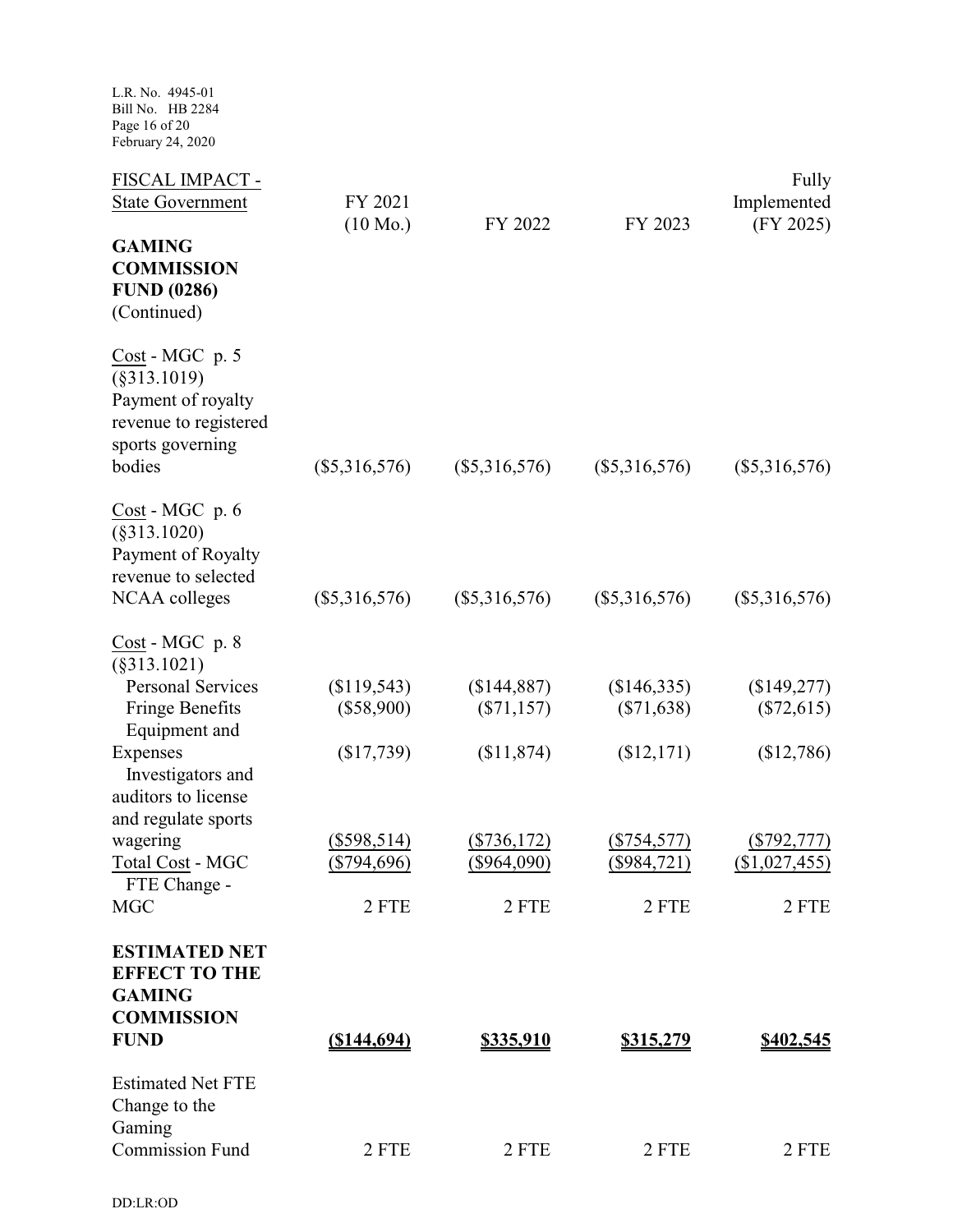L.R. No. 4945-01 Bill No. HB 2284 Page 16 of 20 February 24, 2020

| FISCAL IMPACT -<br><b>State Government</b>                                                                     | FY 2021<br>$(10 \text{ Mo.})$ | FY 2022                        | FY 2023                       | Fully<br>Implemented<br>(FY 2025) |
|----------------------------------------------------------------------------------------------------------------|-------------------------------|--------------------------------|-------------------------------|-----------------------------------|
| <b>GAMING</b><br><b>COMMISSION</b><br><b>FUND (0286)</b><br>(Continued)                                        |                               |                                |                               |                                   |
| Cost - MGC p. 5<br>$(\$313.1019)$<br>Payment of royalty<br>revenue to registered<br>sports governing<br>bodies | $(\$5,316,576)$               | $(\$5,316,576)$                | $(\$5,316,576)$               | $(\$5,316,576)$                   |
| Cost - MGC p. 6<br>$(\$313.1020)$<br>Payment of Royalty<br>revenue to selected                                 |                               |                                |                               |                                   |
| NCAA colleges                                                                                                  | $(\$5,316,576)$               | $(\$5,316,576)$                | $(\$5,316,576)$               | $(\$5,316,576)$                   |
| $Cost - MGC$ p. 8<br>(§313.1021)<br><b>Personal Services</b>                                                   | (\$119,543)                   | (\$144,887)                    | \$146,335                     | (\$149,277)                       |
| Fringe Benefits<br>Equipment and                                                                               | $(\$58,900)$                  | $(\$71,157)$                   | $(\$71,638)$                  | $(\$72,615)$                      |
| Expenses<br>Investigators and<br>auditors to license<br>and regulate sports                                    | (\$17,739)                    | (\$11,874)                     | (\$12,171)                    | (\$12,786)                        |
| wagering<br>Total Cost - MGC<br>FTE Change -                                                                   | $(\$598,514)$<br>$(*794,696)$ | ( \$736,172)<br>$($ \$964,090) | $(\$754,577)$<br>(\$984, 721) | $($ \$792,777)<br>(\$1,027,455)   |
| <b>MGC</b>                                                                                                     | 2 FTE                         | 2 FTE                          | 2 FTE                         | 2 FTE                             |
| <b>ESTIMATED NET</b><br><b>EFFECT TO THE</b><br><b>GAMING</b><br><b>COMMISSION</b>                             |                               |                                |                               |                                   |
| <b>FUND</b>                                                                                                    | $($ \$144,694)                | <u>\$335,910</u>               | <u>\$315,279</u>              | <u>\$402,545</u>                  |
| <b>Estimated Net FTE</b><br>Change to the<br>Gaming                                                            |                               |                                |                               |                                   |
| <b>Commission Fund</b>                                                                                         | 2 FTE                         | 2 FTE                          | 2 FTE                         | 2 FTE                             |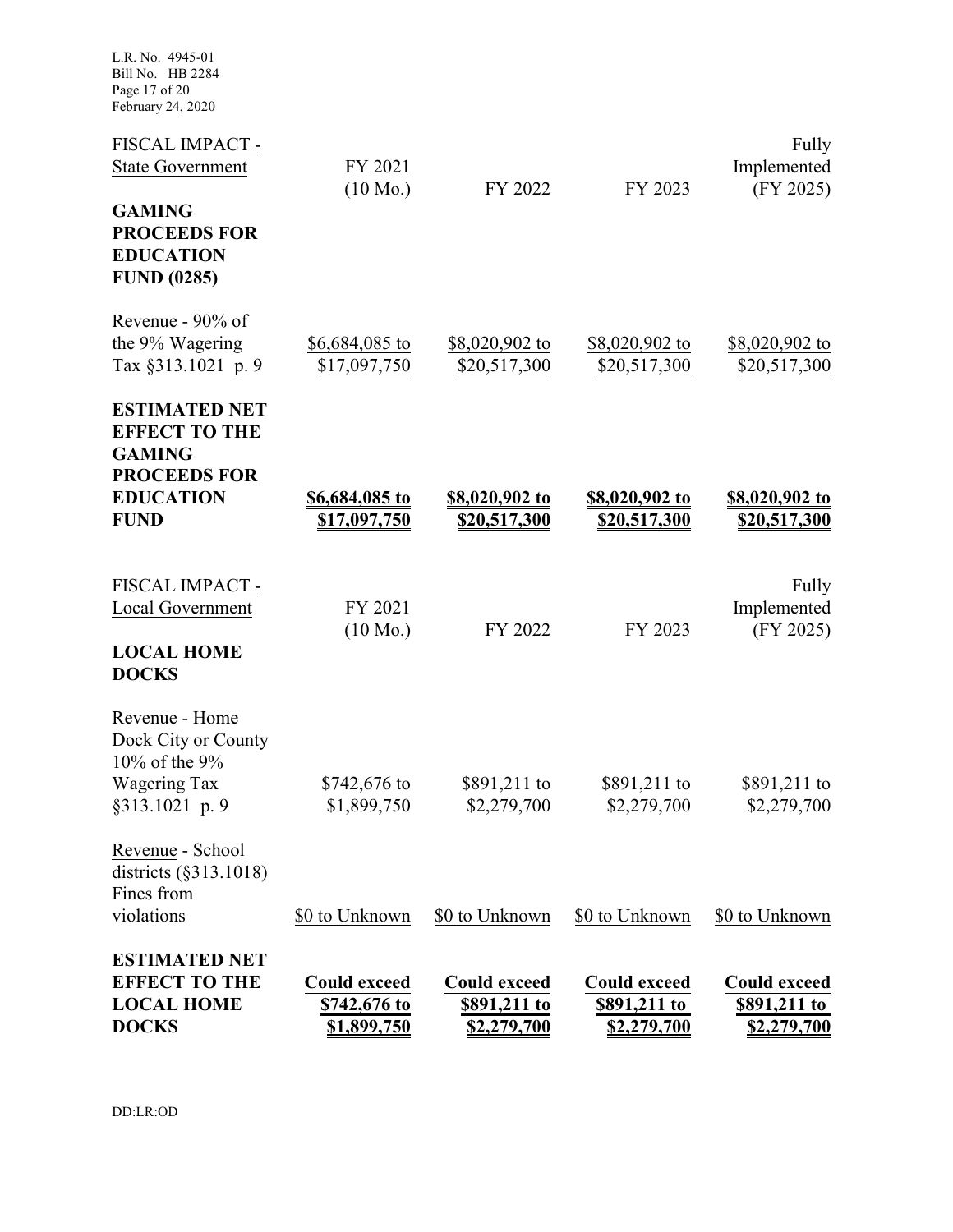L.R. No. 4945-01 Bill No. HB 2284 Page 17 of 20 February 24, 2020

| <b>ESTIMATED NET</b><br><b>EFFECT TO THE</b><br><b>LOCAL HOME</b><br><b>DOCKS</b>                                       | <b>Could exceed</b><br>\$742,676 to<br>\$1,899,750 | <b>Could exceed</b><br>\$891,211 to<br><u>\$2,279,700</u> | <b>Could exceed</b><br>\$891,211 to<br>\$2,279,700 | <b>Could exceed</b><br><u>\$891,211 to</u><br><u>\$2,279,700</u> |
|-------------------------------------------------------------------------------------------------------------------------|----------------------------------------------------|-----------------------------------------------------------|----------------------------------------------------|------------------------------------------------------------------|
| Revenue - School<br>districts $(\S 313.1018)$<br>Fines from<br>violations                                               | \$0 to Unknown                                     | \$0 to Unknown                                            | \$0 to Unknown                                     | \$0 to Unknown                                                   |
| Revenue - Home<br>Dock City or County<br>10% of the $9%$<br>Wagering Tax<br>§313.1021 p. 9                              | $$742,676$ to<br>\$1,899,750                       | \$891,211 to<br>\$2,279,700                               | \$891,211 to<br>\$2,279,700                        | \$891,211 to<br>\$2,279,700                                      |
| FISCAL IMPACT -<br><b>Local Government</b><br><b>LOCAL HOME</b><br><b>DOCKS</b>                                         | FY 2021<br>$(10 \text{ Mo.})$                      | FY 2022                                                   | FY 2023                                            | Fully<br>Implemented<br>(FY 2025)                                |
| <b>ESTIMATED NET</b><br><b>EFFECT TO THE</b><br><b>GAMING</b><br><b>PROCEEDS FOR</b><br><b>EDUCATION</b><br><b>FUND</b> | \$6,684,085 to<br>\$17,097,750                     | <u>\$8,020,902 to</u><br>\$20,517,300                     | \$8,020,902 to<br>\$20,517,300                     | <u>\$8,020,902 to</u><br>\$20,517,300                            |
| Revenue - $90\%$ of<br>the 9% Wagering<br>Tax §313.1021 p. 9                                                            | \$6,684,085 to<br>\$17,097,750                     | \$8,020,902 to<br>\$20,517,300                            | \$8,020,902 to<br>\$20,517,300                     | \$8,020,902 to<br>\$20,517,300                                   |
| <b>GAMING</b><br><b>PROCEEDS FOR</b><br><b>EDUCATION</b><br><b>FUND (0285)</b>                                          | $(10 \text{ Mo.})$                                 | FY 2022                                                   | FY 2023                                            | (FY 2025)                                                        |
| FISCAL IMPACT -<br><b>State Government</b>                                                                              | FY 2021                                            |                                                           |                                                    | Fully<br>Implemented                                             |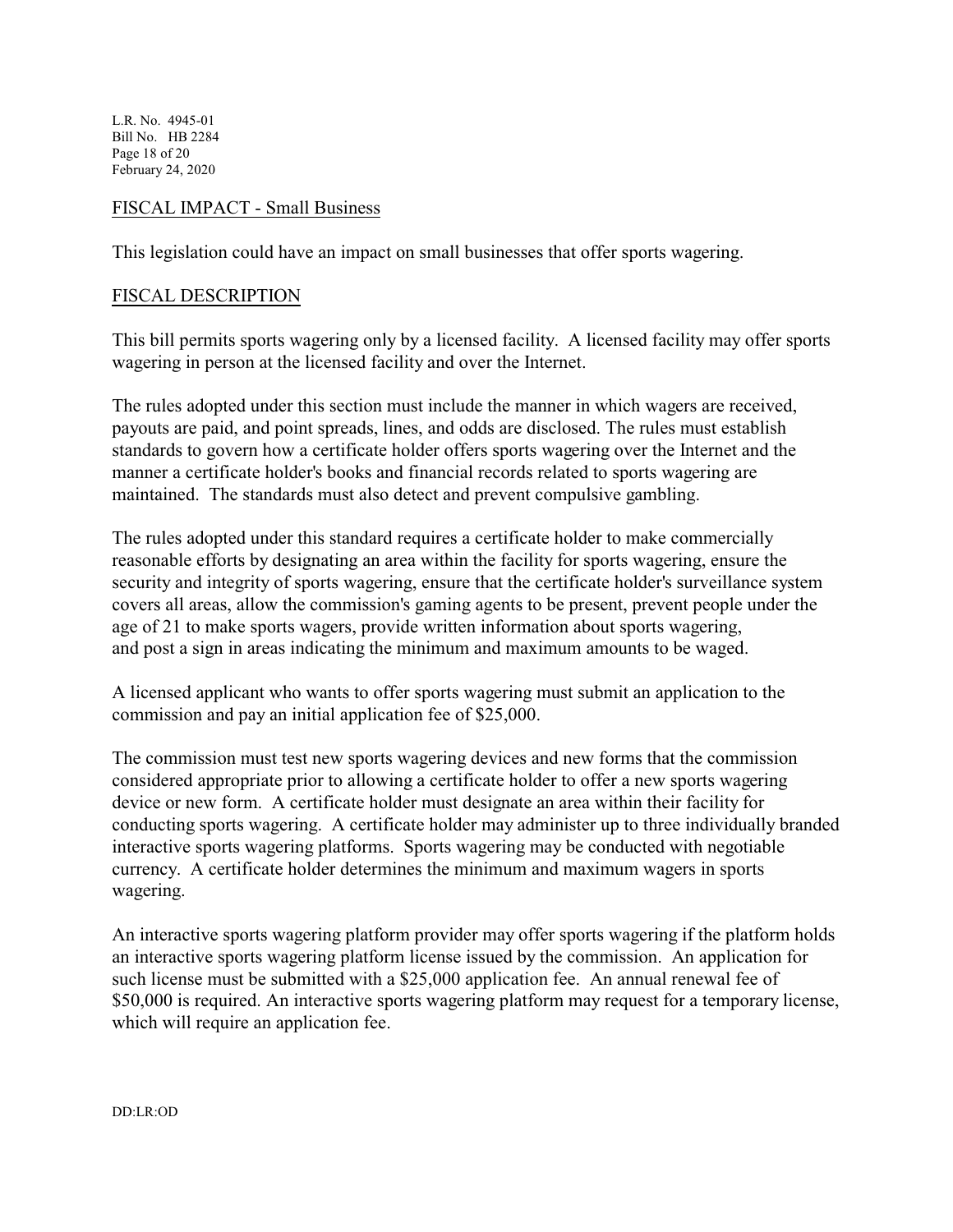L.R. No. 4945-01 Bill No. HB 2284 Page 18 of 20 February 24, 2020

#### FISCAL IMPACT - Small Business

This legislation could have an impact on small businesses that offer sports wagering.

#### FISCAL DESCRIPTION

This bill permits sports wagering only by a licensed facility. A licensed facility may offer sports wagering in person at the licensed facility and over the Internet.

The rules adopted under this section must include the manner in which wagers are received, payouts are paid, and point spreads, lines, and odds are disclosed. The rules must establish standards to govern how a certificate holder offers sports wagering over the Internet and the manner a certificate holder's books and financial records related to sports wagering are maintained. The standards must also detect and prevent compulsive gambling.

The rules adopted under this standard requires a certificate holder to make commercially reasonable efforts by designating an area within the facility for sports wagering, ensure the security and integrity of sports wagering, ensure that the certificate holder's surveillance system covers all areas, allow the commission's gaming agents to be present, prevent people under the age of 21 to make sports wagers, provide written information about sports wagering, and post a sign in areas indicating the minimum and maximum amounts to be waged.

A licensed applicant who wants to offer sports wagering must submit an application to the commission and pay an initial application fee of \$25,000.

The commission must test new sports wagering devices and new forms that the commission considered appropriate prior to allowing a certificate holder to offer a new sports wagering device or new form. A certificate holder must designate an area within their facility for conducting sports wagering. A certificate holder may administer up to three individually branded interactive sports wagering platforms. Sports wagering may be conducted with negotiable currency. A certificate holder determines the minimum and maximum wagers in sports wagering.

An interactive sports wagering platform provider may offer sports wagering if the platform holds an interactive sports wagering platform license issued by the commission. An application for such license must be submitted with a \$25,000 application fee. An annual renewal fee of \$50,000 is required. An interactive sports wagering platform may request for a temporary license, which will require an application fee.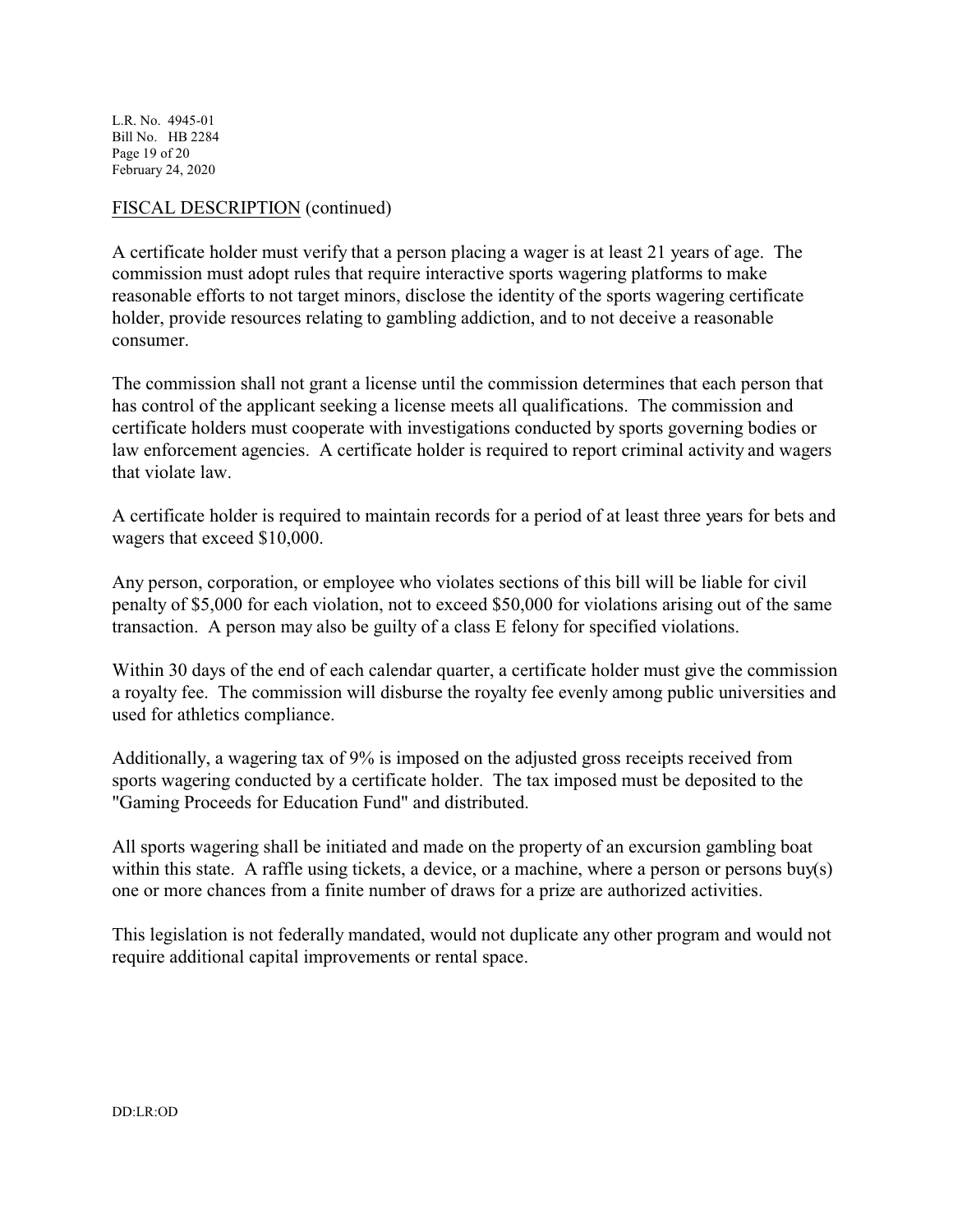L.R. No. 4945-01 Bill No. HB 2284 Page 19 of 20 February 24, 2020

## FISCAL DESCRIPTION (continued)

A certificate holder must verify that a person placing a wager is at least 21 years of age. The commission must adopt rules that require interactive sports wagering platforms to make reasonable efforts to not target minors, disclose the identity of the sports wagering certificate holder, provide resources relating to gambling addiction, and to not deceive a reasonable consumer.

The commission shall not grant a license until the commission determines that each person that has control of the applicant seeking a license meets all qualifications. The commission and certificate holders must cooperate with investigations conducted by sports governing bodies or law enforcement agencies. A certificate holder is required to report criminal activity and wagers that violate law.

A certificate holder is required to maintain records for a period of at least three years for bets and wagers that exceed \$10,000.

Any person, corporation, or employee who violates sections of this bill will be liable for civil penalty of \$5,000 for each violation, not to exceed \$50,000 for violations arising out of the same transaction. A person may also be guilty of a class E felony for specified violations.

Within 30 days of the end of each calendar quarter, a certificate holder must give the commission a royalty fee. The commission will disburse the royalty fee evenly among public universities and used for athletics compliance.

Additionally, a wagering tax of 9% is imposed on the adjusted gross receipts received from sports wagering conducted by a certificate holder. The tax imposed must be deposited to the "Gaming Proceeds for Education Fund" and distributed.

All sports wagering shall be initiated and made on the property of an excursion gambling boat within this state. A raffle using tickets, a device, or a machine, where a person or persons buy(s) one or more chances from a finite number of draws for a prize are authorized activities.

This legislation is not federally mandated, would not duplicate any other program and would not require additional capital improvements or rental space.